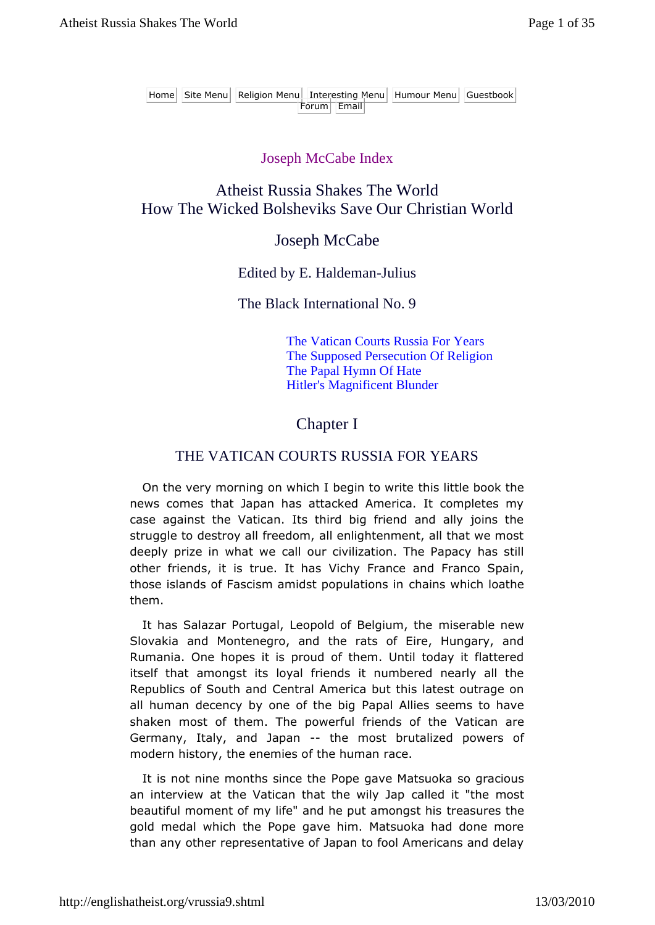#### Joseph McCabe Index

# Atheist Russia Shakes The World How The Wicked Bolsheviks Save Our Christian World

## Joseph McCabe

### Edited by E. Haldeman-Julius

#### The Black International No. 9

The Vatican Courts Russia For Years The Supposed Persecution Of Religion The Papal Hymn Of Hate Hitler's Magnificent Blunder

# Chapter I

### THE VATICAN COURTS RUSSIA FOR YEARS

On the very morning on which I begin to write this little book the news comes that Japan has attacked America. It completes my case against the Vatican. Its third big friend and ally joins the struggle to destroy all freedom, all enlightenment, all that we most deeply prize in what we call our civilization. The Papacy has still other friends, it is true. It has Vichy France and Franco Spain, those islands of Fascism amidst populations in chains which loathe them.

It has Salazar Portugal, Leopold of Belgium, the miserable new Slovakia and Montenegro, and the rats of Eire, Hungary, and Rumania. One hopes it is proud of them. Until today it flattered itself that amongst its loyal friends it numbered nearly all the Republics of South and Central America but this latest outrage on all human decency by one of the big Papal Allies seems to have shaken most of them. The powerful friends of the Vatican are Germany, Italy, and Japan -- the most brutalized powers of modern history, the enemies of the human race.

It is not nine months since the Pope gave Matsuoka so gracious an interview at the Vatican that the wily Jap called it "the most beautiful moment of my life" and he put amongst his treasures the gold medal which the Pope gave him. Matsuoka had done more than any other representative of Japan to fool Americans and delay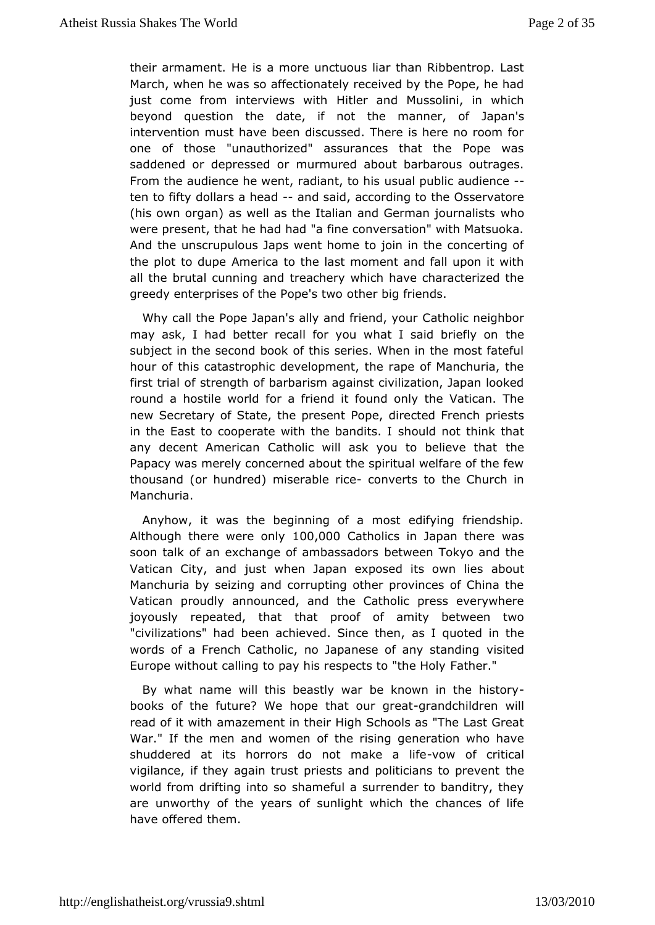their armamentis He more unctuous liar than Ribbentrop. Last March, when he waafs escotionately received by the Pope, he had just come from interviewHsitlwrithand Mussolini, in which beyond question the date, if not the Japaner, of intervention must have been discussed. There is here no roo one ofthose "unauthorized" assurances that the Pope wa saddened or depresmend mourred about barbarous outrages. From the audience he went, radissumal pouthlise audience ten to fifty dollars-aalmedasiaid, accordtilmeg @osservatore (his own organ) as well as the Italian and  $G$  who an journalists were present, that he had had "a fine conversation" with Mats And theuscrupulous Japs went home to join in the concerting the plot to dAmperica to the last moment and fall upon it with all the brutal cunni**ng acchdery** which have characterized the greedy enterprises of the Poopersbig of riends.

Why call the Pope Japan's ally an  $\mathcal C$  aftrine both independent border of  $\mathcal C$ may ask, I had better recall for you what Itsaid briefly on subject in the second book of this series. When in the most f hour othis catastrophic development, the rape of Manchuria, first triaston beth of barbarism against civilization, Japan lool round a hostile woorlad friend it found only the Vatican. The new Secretary of State, the oppree, seintected French priests in the East to cooperate with the band inst think that any decent American Catholic will ask you the believe that Papacy was merely concerned about the spiritual welfare of the thousan(obr hundred) miserabloso rivests to the Church in Manchuria.

Anyhow, t was the beginning of a most edifying friendship Although there were 000,000 Catholics in Japan there was soon talk of an exchange of ambbawsendoTs kyo and the Vatican City, and just when Japan exposead boilus own lies Manchuria by seizing and corrupting other provinces of Chin Vaticaproudly announced, and the Catholic press everywhe joyously repeated, that at proof of amity between two "civilizations" had been achieved.asSilnogeuctheech, in the words of a French Catholic, no Japanese wifsiated standing Europe without calling to pay his respects theor.""the Holy

By what name will this beastly war be known in the histo booksof the future? We hope that-goruam doprheialdiren will read of it waim hazement in their High Schools as "The Last Great War." If the men and wothenrics fing generation who have shuddered at its horrors do not mae we of a clitical vigilance, if they again trust priests and politrieians to preve world from drifting into so shameful a surrender to banditry, areunworthy of the years of sunlight which the chances of have offerted m.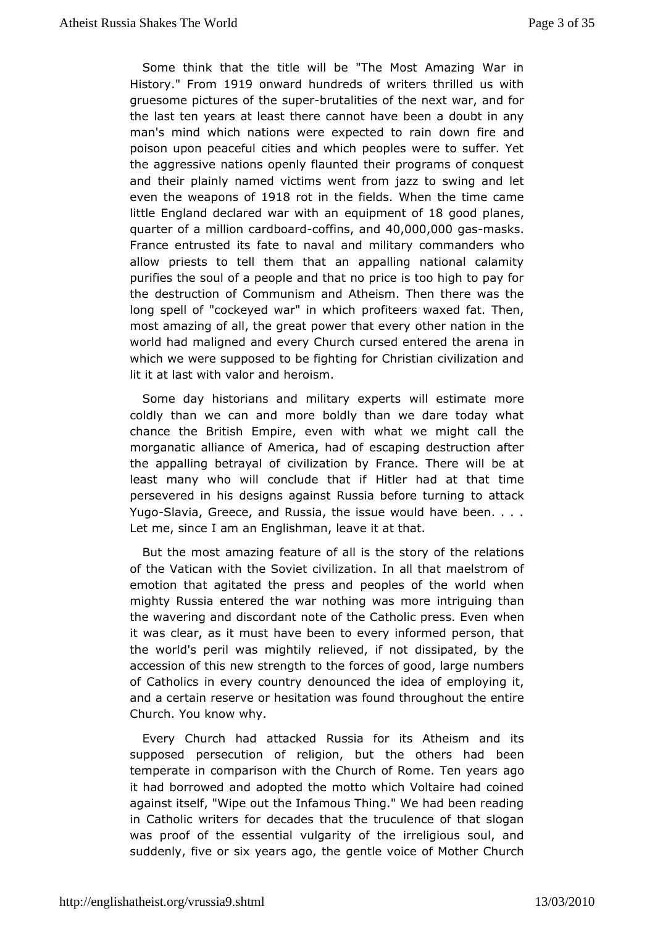Some think that the title will be "The Most Amazing War History F"rom1919 onward hundreds of writers thrilled us with gruesome pictures soufpelberutalities of the next war, and for the last ten years at least the theave been a doubt in any man's mind which nations were expecto won to reaamd poison upon peaceful cities and which peoples were to suffe the aggressive nations openly flaunted their programs of con and the pitainly named victims went from jazz to swing and  $\mathbf{I}$ even the weapon \$108 fot in the fields. When the time came little England declared wae qwipment 168 fgood planes quarter of a million cacrodithioner d  $\alpha$  and  $000,000$  as masks. France entrusted its fate to naval and militarhyo commanders allow priests to tell them that an appalling national cala purifies the solo f a people and that no price is too high to pay the destructio Coomfmunism and Atheism. Then there was the long spell of "cockeyed warp riorfit we heircsh waxed fat. Then, most amazing of all, the great power he transmit the world had maligned and every Church cursed eimtered the are which we were supposed to be fighting for Christian civilizati lit iat last with valor and heroism.

Some day historians and militawy llex stein that e more coldly than we can and more boldly than we dare today w chance the British Empire, even with what we might call morganatic allican America, had of escaping destruction after the appalling betracyiarlic fation by France. There will be at least many who will concluddittheatheid at that time persevered in his designs against Russia ob aftarekturning YugoSlavia, Greece, and Russia, the issue would have been. Letme, since I am an Englishman, leave it at that.

But the most amaeantgre of all is the story of the relations of the Vatican with the i Sidiviation. In all that maelstrom of emotion that agitated the presspleasndof the world when mighty Russia entered the war nothining trivigausing othean the wavering and discordant note of the Catwollen press. Even it was clear, as it must have been to every informed person, theworld's peril was mightily relieved, if not dissipated, by accession of ntehwiss trength to the forces of good, large numbers of Catholics in every doecnuonutmiyed the idea of employing it, and a certain reserve or hesito aution throughout the entire Church. You know why.

Every Church attacked Russia for its Atheism and its supposed persecution of relighen, others had been temperate in comparison with the Church of Ragme. Ten years it had borrowed and adopted the motto which Voltaire had co against self, "Wipe out the Infamous Thing." We had been read in Catholic wrfiderdecades that the truculence of that slogan was proof of the esweehotaalty of the irreligious soul, and suddenly, five or six years eangtole who ice of Mother Church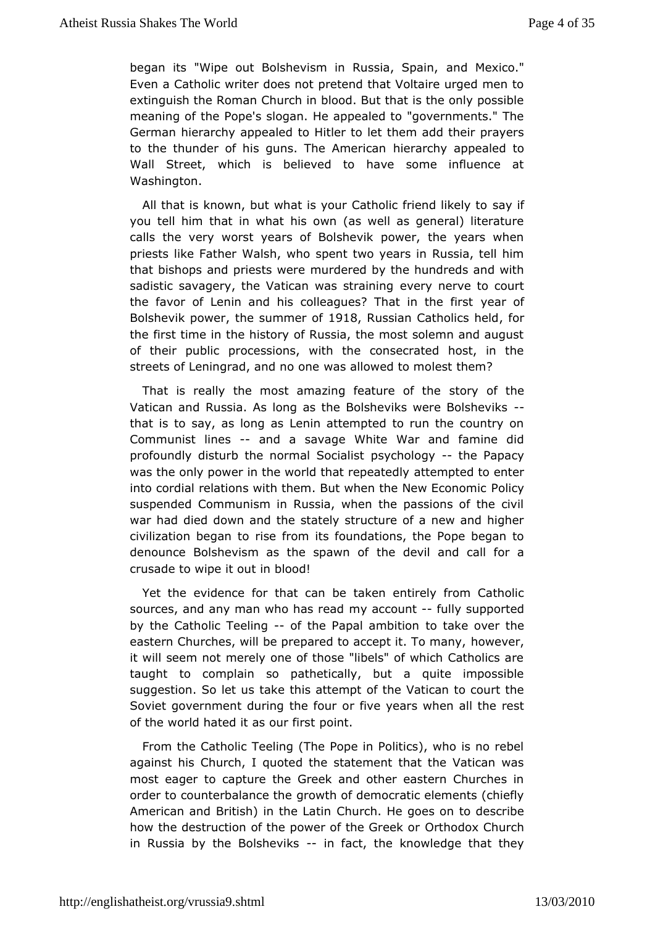began its "Wipe out Bolshevism in RausseliaMe Saiccaoin", Even a Catholic writer does not pretend that Voltaire urged m extinguish the Roman Church in blood. But that is the only po meaning to the Pope's slogan. He appealed to "governments." The German hierarchy aptpoe allie bler to let them add their prayers to the thunder of his guns. The ine amenticy anappealed to Wall Street, which is believed to have some influence Washington.

All that is known, but what is your Catholisa friend likely to you tell him that in what his own (as well as general) liter callsthe very worst years of Bolshevik power, the years wh priests like FaMalesth, who spent two years in Russia, tell him that bishops and priesmistrwiered by the hundreds and with sadistic savagery, the Vatican weavee reytraenrived to court the favor of Lenin and his colleagues? Theatripofthe first Bolshevik powheer summer 1018 Russian Catholics omeld thefirst time in the history of Russia, the most solemn and au of their pubplrioncessions, with the consecrated host, in the streets of Leningrad, anwdasoablowed to molest them?

That is really the most amazing feature of the Vatican and Russia. As long as the Bolsheviks were Bolshev that is to say, as long as Lenin attempted to run the counti Communist lineand a savage White War and famine did profoundly disturb the normaps Syobiod big-ythe Papacy was the only power in the world that teemp pet at dby enter into cordial relations with them. But when the OlNew Economic suspended Communism in Russia, when the passions of the war had ied down and the stately structure of a new and high civilization begraset of rom its foundations, the Pope began to denounce Bolshevism as the the awnevil and call for a crusade to wipe it out in blood!

Yet the evide focethat can be taken entirely from Catholic sources, and any man whom as a cead nifully supported by the Catholic Teedintche Papal ambotitoanke over the eastern Churches, will be prepared to accreative it.o many, it will seem not merely one of those "libels" of which Catholi taught to complain so pathetically, but a quite impossi suggestion. So take shis attempt of the Vatican to court the Soviet government during othe iveuyears when all the rest of the world hated it aspountfirst

From the Catholic Teeling (The Pope in Politics), who is no against his Church, I quoted the statement that the Vatican most eager chapture the Greek and other eastern Churches in order to counterbalagic ewith eof democratic elements (chiefly American and British) in Cheurbatin He goes on to describe how the destruction of the power of Canten Graduage KC hourch in Russia by the Bols-hienvifkesct, the knowledge that they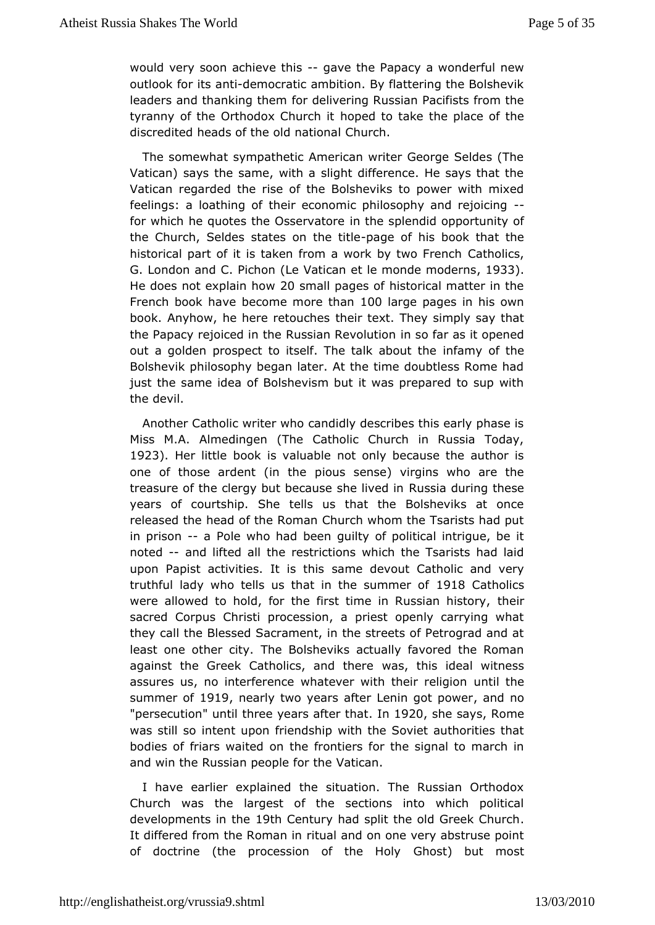would very soon achieve a wheis the Papacy a wonderful new outlook for antisdemocratic ambition. By flattering the Bolshevik leaders and thanking othe enlivering Russian Pacifists from the tyranny of the Orthodox Chownecch tid take the place of the discredited heads of the old nathonal

The somewhat sympathetic American writer George Seldes ( Vatican) says the same, with a slight difference. He says th Vaticamegarded the rise of the Bolsheviks to power with mix feelings: a loaththeir feconomic philosophy and rejoicing for which he quotes the Osisset wate potendid opportunity of the Church, Seldes states opaglee of tis book that the historical part of it is taken from a workC by how in suffrench G. London and P C cho (ple Vatican et le monde, m 938. Phone Hedoes not explain how all pages of historical matter in the French book have to more the and arge pages in his own book. Anyhow, he here reheunchest. They simply say that the Papacy rejoiced in the Russian Roevaluaisom to pened out a golden prospect to itself. The taflamay bout the hee Bolshevik philosophy began later. At the time doubtless Rome just the same idea of Bolshevism but it was prepared to sup thedevil.

Another Catholic writer who candidly describes this early ph Miss M.A. Almedingen (The Catholic Church in Russia To 1923. Her littbeok is valuable not only because the author is one of those ardent (pinoutshesense) virgins who are the treasure of the clergy but becauseR ushs eididend ining these years of courtship. She tells us that the Bolsheviks at a released the head of the Roman Church whom the Tsarists ha in prisona Pole who had been guilty of political intrigue, be noted- and lifted the restrictions which the Tsarists had laid upon Papist activities. Istamse to heavout Catholic and very truthful lady who tells us that in the 9\$800 antehnoloofs were allowed to hold, for the first time in tRhuesian history, sacred Corpus Christi procession, a priest openly carrying they cahle Blessed Sacrament, in the streets of Petrograd and least one other Tchiey Bolsheviks actually favored the Roman against the Greek Catholics, waansd, tthese ideal witness assures us, no interference whatever with the the religion summer d919 nearly two years after Lenin, and mower " persecution matil three years a fther 1 bh2a0tshe sa,  $v$ Rsome was stillinetent upon friendship with the Soviet authorities th bodies of friars waitted frontiers for the signal to march in and win the Russian peopletionthe

I have earlier explained the situation. The Russian Ortho Church was the largest of the sections into which polit developments in Sthe Century had split the old Greek Church It differed from the Roinhua and on one very abstruse point of doctrine (the procession of Gtheest Hobyut most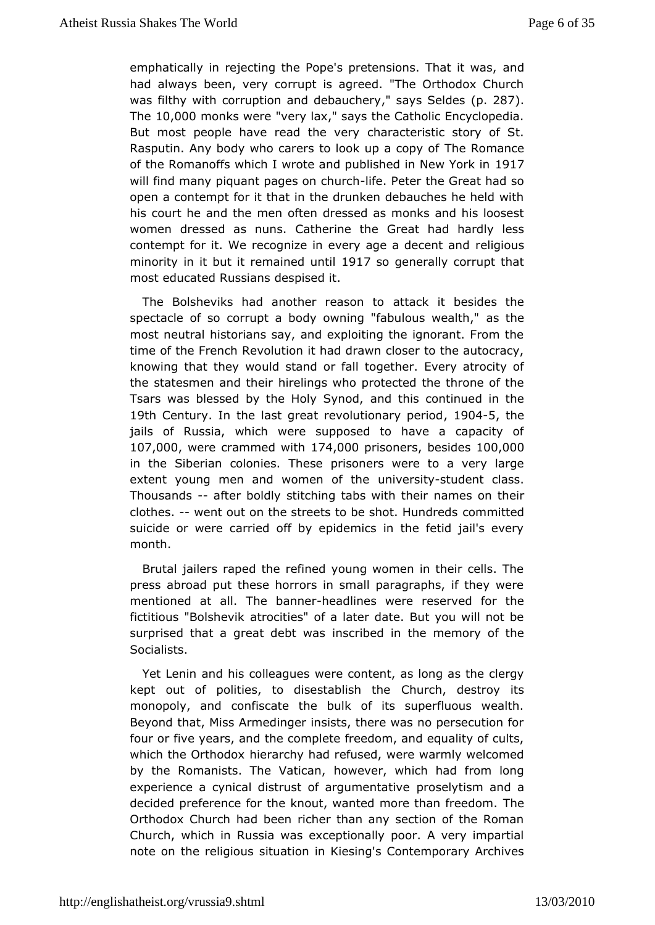emphatically in rejecting the Pope's pretensiaomos. That it was had always been, very corrupt is agreed. "The Orthodox Ch was filthy th corruption and deb'as unisor  $S_f$  eld  $p.s$  287. The10,000 monks we"weery lax," says the Catholic Encyclopedia. But most people have read dhearavet evristic story of St. Rasputin. Any body who carers to look Thue Raomanay conf of the Romanoffs which I wrote and publishet1911n7 New York in will find many piquant pages idence Peteh the Great had so open aontempt for it that in the drunken debauches he held w his court he and the menten dressed as monks and his loosest women dressed as nuns. Cath@remeet hhaed hardly less contempt for it. We recognize in every agreelagidceucsent and minority in it but it remaine hd7 suon tgile nerally corrupt that most educated Russians despised it.

The Bolsheviks had another nether onlito besides the spectacle of so corrupt a body owning "fabulohus wealth," most neutral historians say, and exploiting the ignorant. Fro timeof the French Revolution it had drawn closer to the autocl knowing that the wheeuveld stand or fall together. Every atrocity of the statesmen and hit heelings who protected the throne of the Tsars was blessed by the Hoalmyd Stylmied continued in the 19th Centurlyn the last great revolution, a1r9y 0 p45e, rtikoned jails of Russia, which were supposed to have a capacity 107,000 were crammed w7th 000 risone beside 1s00,000 in the Siberian colomeses prisoners were to a very large extent young men and women not ether that class. Thous and safter boldly stitching tabs nwain the sthoenir their clothes. went out on the streets to be shoctom hundredds suicide or were carried off by epidemics in the fetid jail's month.

Brutal jailers raped the refined young women in their cells press abroad put these horrors in small paragraphs, if they mentioned aalt. The bannee ardlines were reserved for the fictitious "Bolschter ockities" of a later date. But you will not be surprised that a great dients to whas din the memory of the Socialists.

Yet Lenin and his colleagues content, as long as the clergy kept out of polities, to disest@bluischh, the bestroy its monopoly, and confiscate the bulk of its superfluous wealth Beyond that, Miss Armedinger insists, there was no persecuti four or five ars, and the complete freedom, and equality of cult which the Orthbidsor archy had refused, were warmly welcomed by the Romanists. The Waweveer, which had from long experience a cynical distrust of apgorsmeed or tasim veand a decided preference for the knout, wanted morthehan freedom. Orthodox Church had been richer than any section of the Rc Church, whim thRussia was exceptionally poor. A very impartial note on the religiitouastion in Kiesing's Contemporary Archives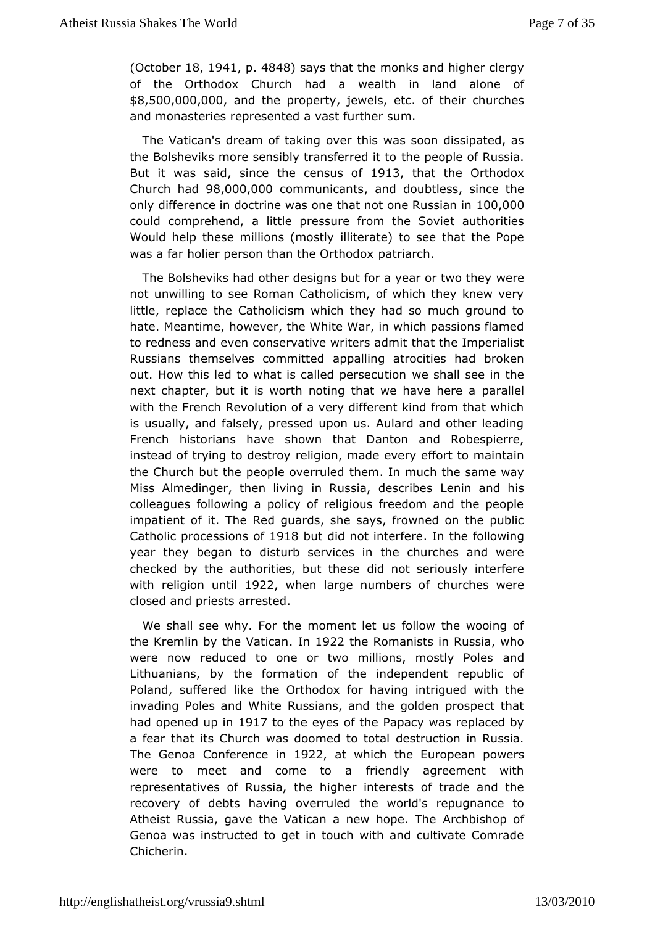$(OctobdR<sub>1941p. 4848</sub>$  saysthat the monks and higher clergy of the Orthodox Church had a wealtahlonine loafnd \$8,500,000,000d the property elsetc of their churches andmonasteries represented a vast further sum.

The Vatican's dream o o vtearkithings was soon dissipated, as the Bolsheviks more sensibly transfeepreed in the Russia. But it was , said ce the censuls  $9$  1 $\alpha$ *s* that theOrthodox  $Church$  h $\theta\theta$ ,000,000 mmunicanatisd doubtlessince the only difference in doctrine was one that not  $100$   $0e$   $0R$   $0$   $s$   $s$   $i$  an in could comprehendittle pressure from the Soviet authorities Would help these millionsill(imeorsattley) to see that the Pope was a far holier person than the at Orthodox

The Bolsheviks had other designs but for a weer aer or two they not unwilling to see Roman Catholicism, of which they knew littler, eplace the Catholicism which they had so much ground hate. Meantihmoowever, the White War, in which passions flamed to redness and conservative writers admit that the Imperialist Russians themselves compopiathed atrocities had broken out. How this led to what is called uperstraseld ustecen in the next chapter, but it is worth noting that we arabled here a with the French Revolution of a very different kind from that isusually, and falsely, pressed upon us. Aulard and other le Frenchhistorians have shown that Danton and Robespierre instead of trying to deelsigtion, made every effort to maintain the Church but the people to weeminuline of much the same way Miss Almedinger, then living in RussLieanindezsnoodibheis colleagues following a policy of religious freedom and the p impatient of it. The Red guards, she says, frowned on the p Catholptocessions 901f8 but did not intelmetrine following year they begadistourb services in the churches and were checked by the authorities, doind the see riously interfere with religion  $\psi$  22 when large numbers unthes were closed and priests arrested.

We shall see why. Froormtehnet let us follow the wooing of the Kremlin by the .Vlant1@202theRomanists in Russia, who were now reduced to one or two millions, amobstly Poles Lithuanians, by the formation of the independent republic Poland, uffered like the Orthodox for having intrigued with t invading Poles Wahnite Russians, and the golden prospect that had opened up 9 nn 7 to the ey or sthe Papacy was replaced by a fear that its Church was doomdeedstroucttoiobal in Russia. The Genoa Conferent & 2 2 inst which the Europpoe waen's were to meet and come to a friendly agreement with representativeRsuotia, the higher interests of trade and the recovery of debts having dierrubedd's repugnance to Atheist Russia, gave the Vatican a n**A** wchhoips bop Thos Genoa was instructed to get in touch with and cultivate Com Chicherin.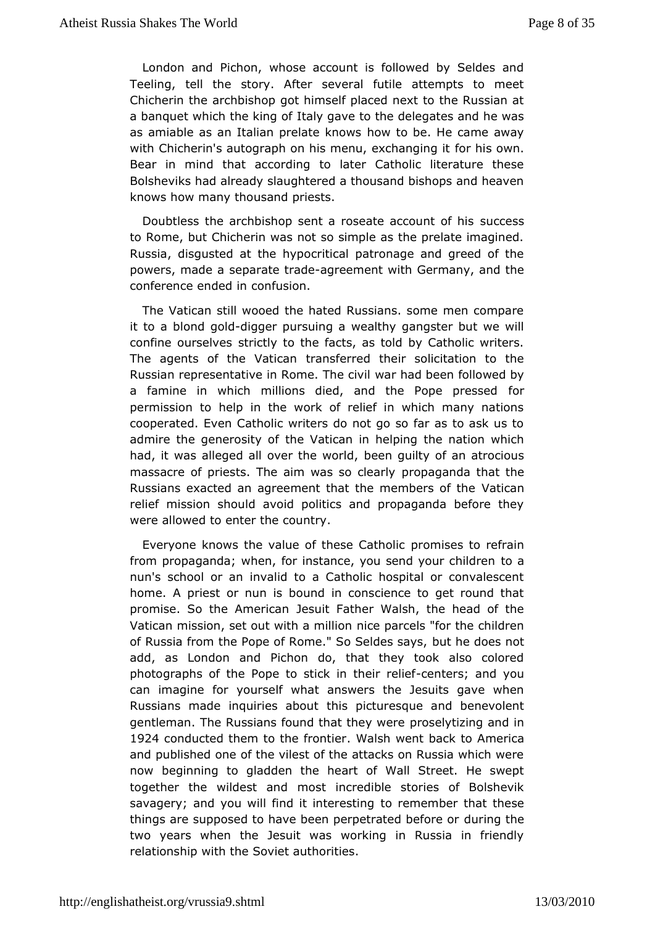London and Pichon, whose account is followed by Seldes Teeling, tell the story. After several futile attempts to r Chicherin ahehbishop got himself placed next to the Russian a banquet which the Iktaria oave to the delegates and he was as amiable as an Italian prehaotwe kondowes He came away with Chicherin's autograph on his menufoexhcihsangwim.g it Bear in mind that according to later Catholic literature t Bolsheviks had already slaughtered a thousand bishops and h knows how mahnousand priests.

Doubtless the archbishop sent a roseates access to this to Rome, but Chicherin was not so simple as the prelate imac Russia, disgusted at the hypocritical patronage and greed c powers, madee paarate tradee ement with Germany, and the conference endoeadnfusion.

The Vatican still wooed the hated Russians. some men com itto a blond goldger pursuing a wealthy gangster but we will confine ourses twreigtly to the facts, as told by Catholic writers. The agents of the Vtatin transferred their solicitation to the Russian representative in RomwearTheed chive in followed by a famine in which millions died, and the fBope pressed permission to help in the work of relief in which many nat cooperateEd.en Catholic writers do not go so far as to ask us admire the generosthtey batican in helping the nation which had, it was alleged all overbteheen wo pourilldy of an atrocious massacre of priests. The aim waps rospoage benadraly that the Russians exacted an agreement that the m/eamhibceams of the relief mission should avoid politics and propaganda before wereallowed to enter the country.

Everyone knows the value of theosreponCiastehsoltic refrain from propaganda; when, for instance, you send ayour children nun's school or an invalid to a Catholic hospital or convale home. A riest or nun is bound in conscience to get round th promise. So the Amdescuan Father Walsh, the head of the Vatican mission, set out with micae mpid ricoents "for the children of Russia from the Pope of Rome." Sbussehelectosaynsot add, as London and Pichon do, that they took also colo photographs of the Pope to stick  $\overline{a}$  in the  $\overline{a}$  reliefyou can imaginer yourself what answers the Jesuits gave when Russians made inquiriethis bout turesque and benevolent gentleman. The Russians found that ot sheet will wave head in 1924 conducted them to the Whanesthiewent back megical and published one of the vilest of the attacks on Russia whic nowbeginning to gladden the heart of Wall Street. He swe together the wildestno and incredible stories of Bolshevik savagery; and you will find it to the ember that these things are supposed to have been perpetdatendg btehfeore or two years when the Jesuit was working in Russia in frie relationship with the Soviet authorities.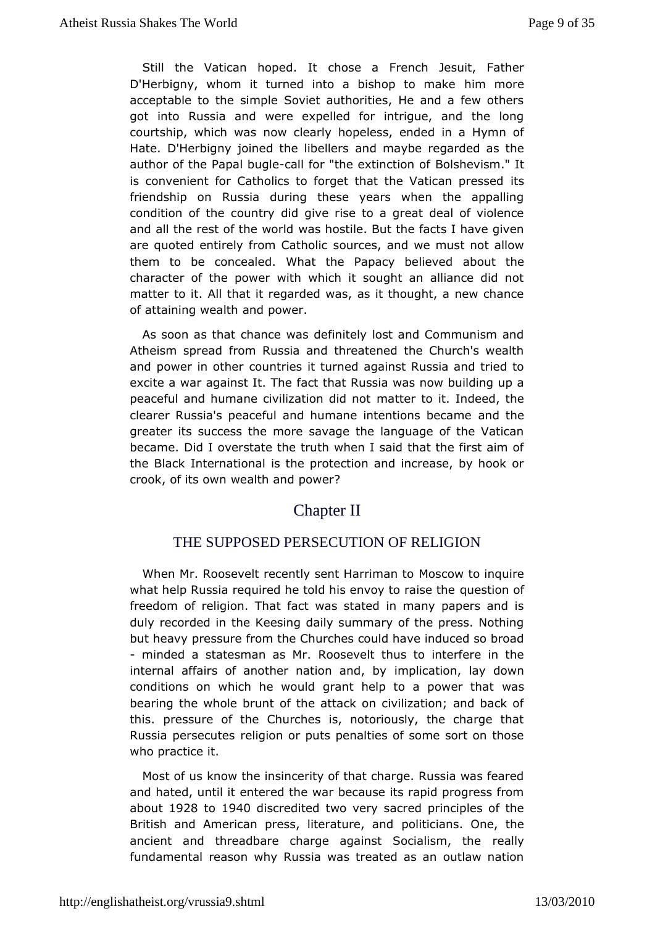Still the Vatican hopeholoselta French Jesuit, Father D'Herbigny, whom it turned into a bishop to meake acceptable to the simple Soviet authorities, He and a few o gotinto Russia and were expelled for intrigue, and the Ide courtship, which now as clearly hopeless, ended in a Hymn of Hate. D'Herbigny joined the nidbelide be regarded as the author of the Papabalugfloer "the extind tobshefoism." It is convenient for Catholics to forget that the tsatican press friendship on Russia during these years when the appal condition of ctchuentry did give rise to a great deal of violence and all the rest of the easy chroid tile. But the facts I have given are quoted entirely from soat besic and we must not allow them to be concealed. What the Papadoyou beltiheeved character of the power with which it sought an alliance dic mattero it. All that it regarded was, as it thought, a new cha of attaining wealth power.

As soon as that chance was definitely lost and Communism Atheism spread from Russia and threatened the Church's  $w_{\ell}$ and power in octohuemtries it turned against Russia and tried to excite a war against fat that Russia was now building up a peaceful and humane civilizatmoantterdtooitt. Indeed, the clearer Russia's peaceful and humane int**and**ioths became greater its success the more savage the language of the Va became  $\mathbf{D}$ id I overstate the truth when I said that the first aim the Blackternational is the protection and increase, by hook crook, of its woeward th and power?

# Chapter II

### THE SUPPOSE **IPERSECUTION OF RELIGION**

When Mr. Roosevelt recently sent M-basarcoin at to inquire what help Russia required he told his enguogstoonaose the freedom of religion. That fact was stated in many papers and it dulyrecorded in the Keesing daily summary of the press. Noth but heavy pressome the Churches could have induced so broad - minded a statesman **R**soMeyelt thus to interfere in the internal affairs of another nation planetiony, lay down conditions on which he would grant help toweas power that bearing the whole brunt of the attack on civilization; and ba this.pressure of the Churches is, notoriously, the charge t Russia persecuties ion or puts penalties of some sort on those who practice it.

Most outs know the insincerity of that charge. Russia was fea and hated, undentitetred the war because its rapid progress from about 928 to 1940 discredit and very sacred principles of the British and American press, litepatitie, ansad One, the ancient and threadbare charge against Sroecailalyism, the fundamental reason why Russia was treated as an outlaw na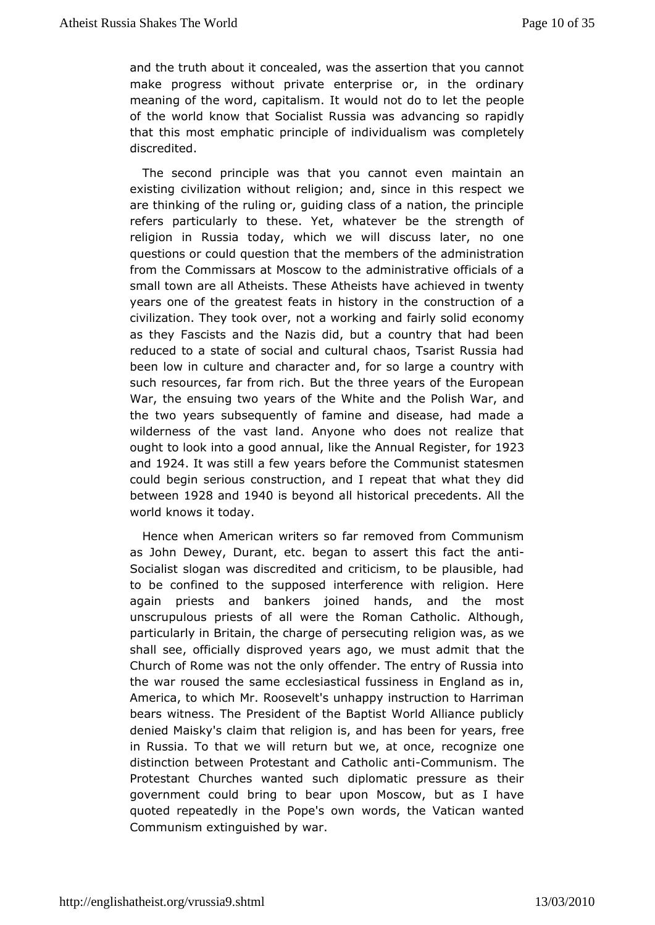and the ruth about it concealed, was the assertion that you can make progrewsisthout private enterprise or, in the ordinary meaning of the word, captitus biushed not do to let the people of the world know that Socialista us a can was a rapidly that this most emphatic principle of individualities have was discredited.

The second principle was that you momaninibatine vaem existing civilization without religion; and, since in this resp are thinking of the ruling or, guiding class of a nation, the pi refers particularly to these. Yet, whatever be the strengt religion Rrussia today, which we will discuss later, no on questions or could qtheastione members of the administration from the Commissars at Moscacolwmitroisthreative officials of a small town are all Atheists. These a cthiedings have enty years one of the greatest feats in boshtsotrnyu diniothne eof a civilization. They took over, not a working caomoom mayirly solid as they Fascists and the Nazis did, but a country that had reduceto a state of social and cultural chaos, Tsarist Russia been low in cual hudrecharacter and, for so large a country with such resources, far fr**B** mt nihce three years of the European War, the ensuing two years of the hew IPioteisal md War, and the two years subsequently of famine and disease, had mad wilderness of the vast land. Anyone who does not realize ought to look aim to annual Reforms 9e2r3 and1924It was still ay  $6$  aws before the Communist statesmen could begin serious constructeome, a ant dat what they did between928 and 1940 is beyond all hisptroer centerlents. All the world knows it today.

Hence when American writers ment oved from Communism as John Dewey, Durant, etc. began to ather tanthis fact Socialist slogan was discredited and criticism, to be plausib to be confined to the supposed interference with religion. again priesand bankers joined hands, and the most unscrupulous priests of all Rwerent Ceatholic. Although, particularly in Britain, the charge pelipopiposne onventsing as we shall see, officially disproved years ago, the at the st admit Church of Rome was not the only offender. The entry of Russi thewar roused the same ecclesiastical fussiness in England  $\epsilon$ America, to wMich Roosevelt's unhappy instruction to Harriman bears witness. The PresheeBapotfist World Alliance publicly denied Maisky's claim that religion is been for years, free in Russia. To that we will return butrewceo, guatze nocme e distinction between Protestant and CCommunics annti The Protestant Churches wanted such diplomatic pressure as the government coburliong to bear upon Moscow, but as I have quoted repeatedly in the Powpoer'ssowthe Vatican wanted Communism extinguished by war.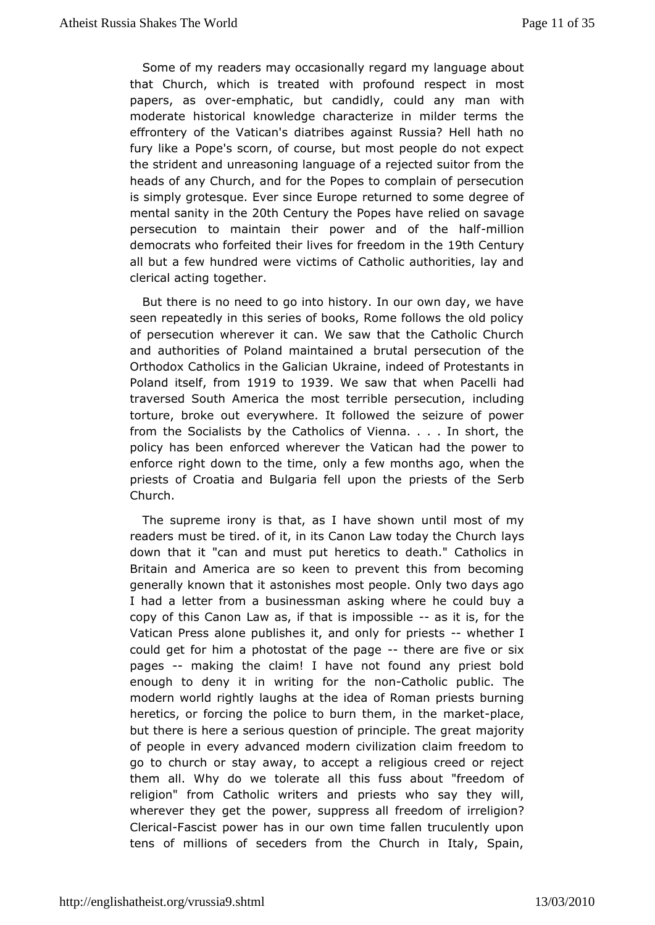Some of meyaders may occasionally regard my language about that Church, which is white at endofound respect in most papers, as cewneprhatic, but candidly, comunion awrith moderate historical knowledge characterize in milder terms effrontery of the Vatican's diatribes against Russia? Hell hat fury like Pape's scorn, of course, but most people do not expe the strident  $w$  and  $w$  as oning language of a rejected suitor from the heads of any Church, the dPfcogres to complain of persecution is simply grotesque. Ever since teun Enuerood pto some degree of mental sanity in Otth eCentury the Poperse lhad eon savage persecution to maintain their power and midifionthe half democrats who forfeited their lives for 1fot the  $\theta$  emtuinythe all butfaw hundred were victims of Catholic authorities, lay and clerical acttoing  $e$  ther.

But there is no need to go into history. In our own day, we seen repeatedly in this series of books, Rome follows the old ofpersecution wherever it can. We saw that the Catholic Ch and authoritie Roband maintained a brutal persecution of the Orthodox Catholics in the Galice annoteed of Protestants in Poland its ferlof m1919 to 1939 We saw thwahen Pacelli had traversed South America the most terribli eched srequition, torture, broke out everywhere. It followed the seizure of p fromthe Socialists by the Catholics of Vienna. . . . In short policy has been entropoly wherever the Vatican had the power to enforce right down to tbaly ime few months ago, when the priests of Croatia and Bulgaria felles psonofthtee Serb Church.

The supreme irony is that, as I have shown that my readers must be tired. of it, in its Canon Lawlaysday the Churc down that it "can and must put heretics to death." Catholic Britain aAcherica are so keen to prevent this from becoming generally known tahsat bnishes most people. Only two days ago I had a letter from a busianseksisning awhere he could buy a copy of this Canon Law as, if that -isas mipoissibole the Vatican Press alone publishes it, and on whether priests could get for him a photostat of tthe epaage five or six pages - making the claim! I have not found any priest bold enough to deny wiritming for the Catholic public. The modern world rightly laughs aotf the mide apriests burning heretics, or forcing the police to burm a heemplaime, the but there is here a serious question of primajplety The great of people in every advanced modern civilization claim freedo go tochurch or stay away, to accept a religious creed or rej them all. Why do to weerate all this fuss about "freedom of religion" from Catholic wripteires stan ow ho say they will, wherever they get the power, suppress and the from of Clericaascist power has in our own time fallen truculently up tens of millions of seceders from the Church in Italy, Sp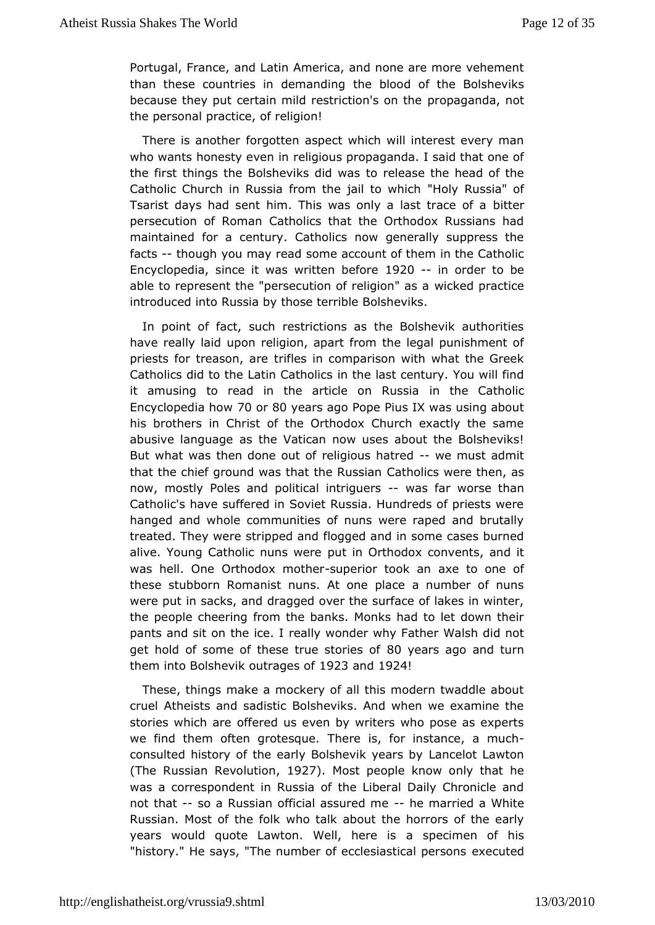Portugal, France, Latin America, and none are more vehement than these countries in detheantollion and of the Bolsheviks because they put certain mild restription product, heot the personal practice, of religion!

There is anotto perotten aspect which will interest every man who wants honesty eveeingiionus propaganda. I said that one of the first things the Bolshevikos robilde awsæs the head of the Catholic Church in Russia from the "Hadly to Russian" of Tsarist days had sent him. This was only a bittant trace of a persecution of Roman Catholics that the Orthodox Russians maintained for a century. Catholics now generally suppress the facts-though you may some account of them in the Catholic Encyclopedia, since it was write 2n-benformeder to be able to represent the "persecution of wiekiend om "aasice introduced into Russia by those terrible Bolsheviks.

In point of fact, such restrictions as the Bolshevik author have really upoch religion, apart from the legal punishment of priests for treasotriflers in comparison with what the Greek Catholics did to the LatininCaltheollass century. You will find it amusing to read in the article imputh  $\mathbb R$ us $\Omega$ sa taholic Encyclopedia 7h0 o 90 years ago Pope Pius IX was using about his brothers in Christ of the Orthodox Church exactly the s abusive languasgethe Vatican now uses about the Bolsheviks! But what was then done ediugticoufs hat rewole must admit that the chief ground was that ChaethRouliscssiawnere then, as now, mostly Poles and political- wat signally asse than Catholic's have suffered in Soviet Russia. Hundreds of priest hanged and whole communities of nuns were raped and brut treated. They swite repred and flogged and in some cases burned alive. Young Catholic nuous ime Certhodox convents, and it was hell. One Orthodox-suppoethies tookaxen to one of these stubborn Romanist nuns. At one place a number of n wereput in sacks, and dragged over the surface of lakes in wi the peopdbeering from the banks. Monks had to let down the pants and sit on the eidey wonder why Father Walsh did not get hold of some of these true8 Ostyceraess and on and turn them into Bolshevik outh & 2 as a dif 9 2 4

These, things make a mockery of all this modern twaddle a crue Atheists and sadistic Bolsheviks. And when we examine stories which obefreered us even by writers who pose as experts we find them often grollen and the is, for instance, a much consulted history of the early Bolshleamic eyletar balawton (The Russian Revoluot  $2\tilde{q}$ n Most people know only that he was a correspondent in Russia of the Liberal Daily Chronicl not that soa Russian official ass-umbeed momentied a White Russian. Most of thweh of otlakik about the horrors of the early years would quote Lawton. Well, sheeeiming of his "history." He says, "The number of eccleseixasstictaeld persons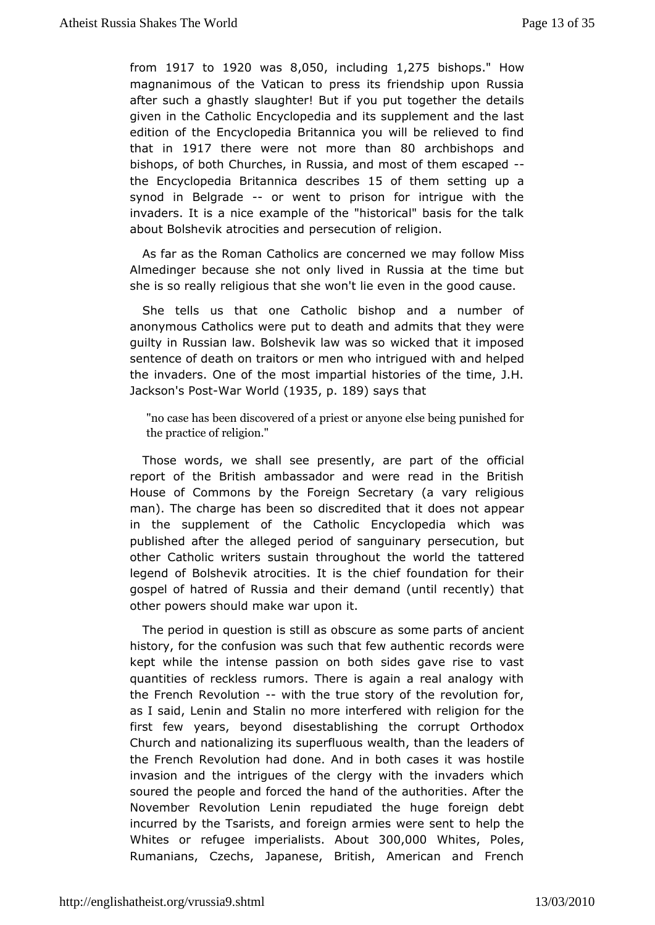$f$ rom 1917 to 1920 was 8,050 including  $275$  bishop's How magnanimous the Vatican to press its friendship upon Russi after such a ghas at ughter! But if you put together the details given in the CaEmoclyclopedia and its supplement and the last edition of the EncycBorpteachinaica you will be relieved to find that  $\texttt{ind } 917$  there were not more 80 than  $\texttt{bin}$  bishops and bishops, of both Churches, in Russia, and most- of them escal the Encyclopedia Britannica 15 eostcribes setting up a synod iBelgrade or went to prison for intrigue with the invaders. It is æxmamople of the "historical" basis for the talk about Bolshevik atrocities sextuation of religion.

As far as the Roman Catholics are monay ceorhood wheres Almedinger because she not only lived in Russia at the time she is so really religious that she won't lie even in the good  $\epsilon$ 

She tells us that one Catholic bishop and a number of anonymous Catholics were epauth and admits that they were guilty in Russian law. Bolshevikwiak we ow abastoit imposed sentence of death on traitors or men who and thied weed with the invaders. One of the most impartial histories of the time Jackson's -PNbast World 935p. 189 says that

"no caseb**eas** discovered of a priest or anyone else being pu the practimediofon."

Those words, we shall see presently, anoeffince at of the report of the British ambassador and were read in the Br House  $\alpha$  ommons by the Foreign Secretary (a vary religious man). The charge has blessen esobited that it does not appear in the supplement of the Enachtolopedia which was published after the alleged period persaencoutionary but other Catholic writers sustain throughouttathterwoorld the legend of Bolshevik atrocities. It is the chief foundation for gospel of hatred of Russia and their demand (until recently) other powehs uld make war upon it.

The period in question is still as somoles prairtes and ancient history, for the confusion was such that e few dauther patic kept while the intense passion on both sides gave rise to quantities of reckless rumors. There is again a real analogy the Frenklevolutio-nwith the true story of the revolution for, as I said, Lenistanidh no more interfered with religion for the first few years, bedysenstablishing the corrupt Orthodox Church and nationalizing its weepaetriflutchuas the leaders of the French Revolution had done. And in both casts it invasion and the intrigues of the clergy with the invaders v soured the people and forced the hand of the authorities. Aft Novembe Revolution Lenin repudiated the huge foreign deb incurred by the Tsaristo seign armies were sent to help the Whites or refugee imperialis  $80.0$ ,  $0.000$  whites  $P$  oles Rumanians, Czechs, Japanese, British, American and Fre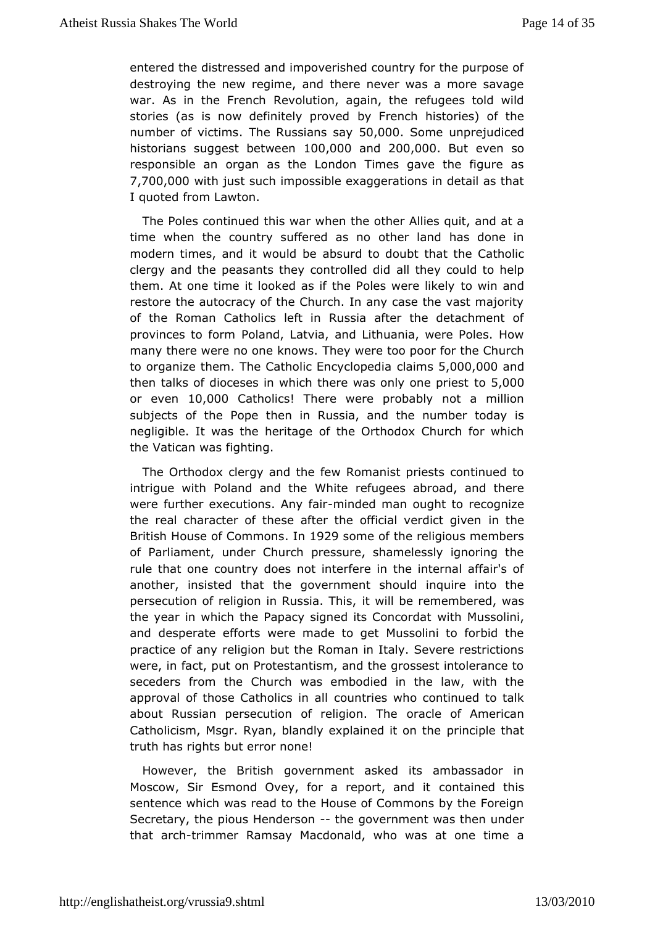entered the distressed and impoverished country for the purpo destroyinge new regime, and there never was a more savage war. As in the FReenvool ution, again, the refugees told wild stories (as is now definitely for from the histories) of the number of victTme Russians 58a00.0Someunprejudiced historians suggest b & 0We @ Chand200,000 But even so responsible an organ as the London Times gave the figure 7,700,00 With jussuich impossible exaggerations in detail as that I quoted from Lawton.

ThePoles continued this war when the other Allies quit, and time when the euntry suffered as no other land has done in modern times, and it wabsdurbeto doubt that the Catholic clergy and the peasants they commultrothleeyd odid id to help them. At one time it looked as if the Potbe wim eaedlikely restore the autocracy of the Church. In any case the vast ma of the Roman Catholics left in Russia after the detachment provinces to Porhand, Latvia, and Lithuania, were Poles. How many there were no one They were too poor for the Church to organize them. The Catholic Echaciync \$0000,000 and then talks of dioceses in which there wastosh, low one priest or even10,000 Cathol!ic Eshere were probably not a million subjects toh Pope then in Russia, and the number today is negligible. It was the **bertihagerthodox Church for which** the Vatican was fighting.

The Orthodo ergy and the few Romanist priests continued to intrigue with Poland a Middite herefugees abroad, and there were further executions. mAindefobin manught to recognize the real character of these after the official therdict given British House of Commion 299 some of the religious members of Parliament, under Church pressure, shamelessly ignoring rule that conountry does not interfere in the internal affair's another, insisted thte a government should inquire into the persecution of religion in Ruts swill beisemembered, was the year in which the Papacy signed witsh CMoussordiant, and desperate efforts were made to get Mussolini to forbid practice of any religion but the Roman in Italy. Severe restri were, fact, put on Protestantism, and the grossest intolerance seceders from Cthe cherch was embodied in the law, with the approval of those Catholdosnitmiest who continued to talk about Russian persecution of redigiods. of he merican Catholicism, Msgr. Ryan, blandly explainine dipteonhahe truth has rights but error none!

However, the Brgtashernment asked its ambassador in Moscow, Sir Esmond Ovey, for a reportained this sentence which was read to the House of Commons by the Fo Secretary, the pious Hendheer sopon vernment was then under thatarchtrimmer Ramsay Macdonald, who was at one time a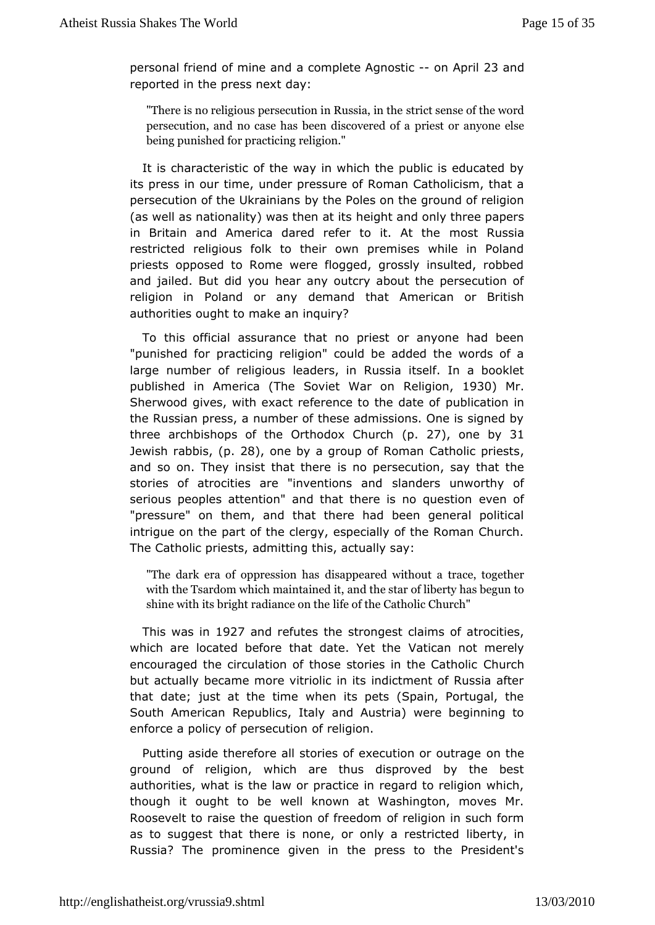personal friend of maine oammodete Agnosophic Apr2 Band reported in the pressa whext

"There is no religious persecuti**shrict Resseapfinthte evord** persecution, and no case has bepermediscop værreddne fease being punished for practicing religion."

Itis characteristic of the way in which the public is educate its press intimue, under pressure of Roman Catholicism, that a persecution of the Ukbainhian Boles on the ground of religion (as well as nationality) washtehight taandsonly three papers in Britain and America dared refer tmoostt. Russihæ restricted religious folk to their own premises while in  $P_{\perp}$ priests opposed to Rome were flogged, grossly insulted, robbed and jailed. Budtyou hear any outcry about the persecution of religion in Poland odemanyd that American or British authorities ought to make an inquiry?

To this official assurance that no priest or anyone had b "punished poacticing religion" could be added the words of large number of relliegadess, in Russia itself. In a booklet published in America (The SovikelWaagn 080 Mr. Sherwood gives, with exact reference pobtlhea diatre inf the Russian press, a number of these admissions. One is sigr three archbishops of the Orthodox  $2\sqrt{9}$  h we mosh by 31 Jewish rabbis28), pane by a group of Roman Catholic priests and so on. They insist that nth preer secution, say that the stories of atrocities are "invessitalonds rsand nworthy of serious peoples attention" and that thereeixem cofquestion "pressure" on them, and that there had been general polit intriguen the part of the clergy, especially of the Roman Chui The Catholic pradmitting this, actually say:

"The dark era of oppdessapopreahraesd without a trace, togethe with the Tsardom which mand then start of liberty has begun to shine with its bright rald farmore to be the actholic Church"

This was 1902 7 and refutes sthe ngest claims of atrocities, which are located before that dalleatic and the merely encouraged the circulation of those storie Churche Catholic but actually became more vitriolic in its indictment of Russia thatdate; just at the time when its pets (Spain, Portugal, South Ameri& apublics, Italy and Austria) were beginning to enforce a policy of perosfercalitigoinon.

Putting aside therefore all stories of execuntitchne or outrage ground of religion, which are thus disproved by the be authorities, at is the law or practice in regard to religion which though it ought tweble known at Washington, moves Mr. Roosevelt to raise the question of of refrieged omin such form as to suggest that there is none, or onllip bearty estimicted Russia? The prominence given in the press to the President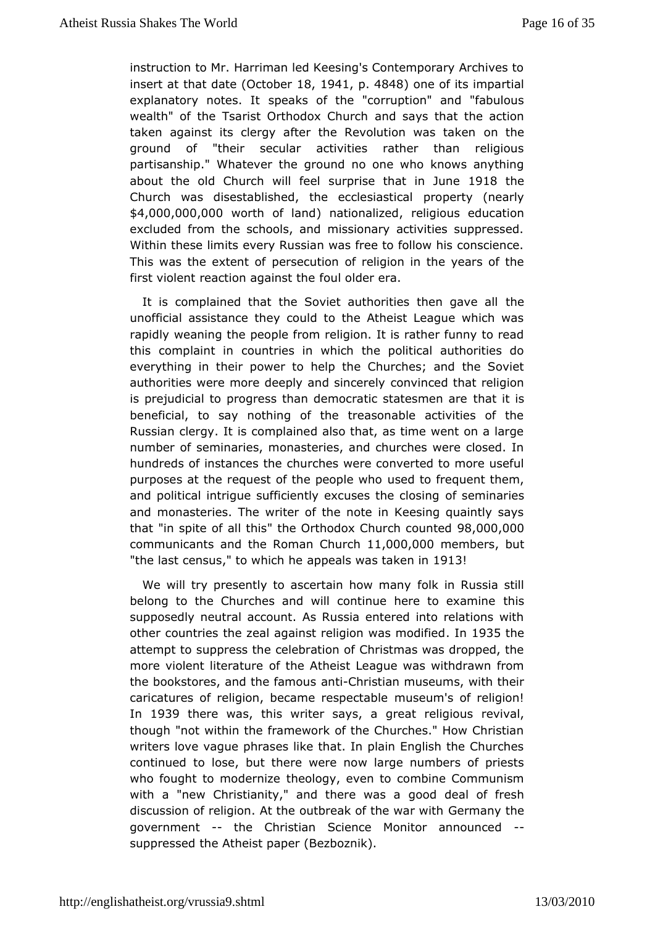instruction to Mr. Harriman led Keesing's Contemporary Archiv insert attat dat $Q$ ctober 8, 1941p. 484  $Q$ one of its impartial explanatory notespeatks of the "corruption" and "fabulous wealth" of the Tsarist Orthodap and Chaum schibe action taken against its clergy after the Revolubinonthweas taken ground of "their secular activities rather than religious partisanshioth hatever the ground no one who knows anything about the old Church wsiul rpfeel that in 1.90 une the Church was disestablished, the epencologital propertional arty \$4,000,000,000 orth of Dand tionalized ligious education excluded from the schools, and missionary activities suppre Within the smaits every Russian was free to follow his conscien This was the extemetr scefcution of religion in the years of the first violent reaction against the era.

It is complained that the Soviet authoritieshehen gave all unofficial assistance they could to the Atheist League which rapidlweaning the people from religion. It is rather funny to r this complaintountries in which the political authorities do everything in their poweelp the Churches; and the Soviet authorities were more deeply ancolnsvinncoeroely hat religion is prejudicial to progress than democratichatatesmen are beneficial, to say nothing of the treasonable activities of Russian clergy. It is complained also that, as time went on a number séminaries, monasteries, and churches were closed. hundreds of instance that the converted to more useful purposes at the request of the pesend teo wine quent them, and political intrigue sufficiently excupsies et mienaclipessing and monasteries. The writer of the note in Keesing quaintly that"in spite of alltheisOrthodox Church @83400@d000 communicanatrsd the Roman ChurOb0.0000 embers ut "the last census," to wappear he was taken in 30

We will try presently to ascertain ohkown mRaunsysia still belong to the Churches and will continue herries to examine supposedly neutral account. As Russia entered into relations othe countries the zeal against religion lwad \$935 bhde fied attempt suppress the celebration of Christmas was dropped, t more violent litepatume Atheist League was withdrawn from the bookstores, and the antimation is and museums, with their caricatures of religion, became mespentable religion! In 1939 there watshis writer saysgreat religious val, though "not within the framework of the Churches." How Chri writers love vague phrases like that. In plain English the  $Ch^+$ continued lose, but there were now large numbers of priests who fought to modelneiozlegy, even to combine Communism with a "new Christianity," and thgeorced woldesala of fresh discussion of religion. At the outbreak Goefrthean wathewith government the Christian Science Monitor announced suppresstehde Atheist paper (Bezboznik).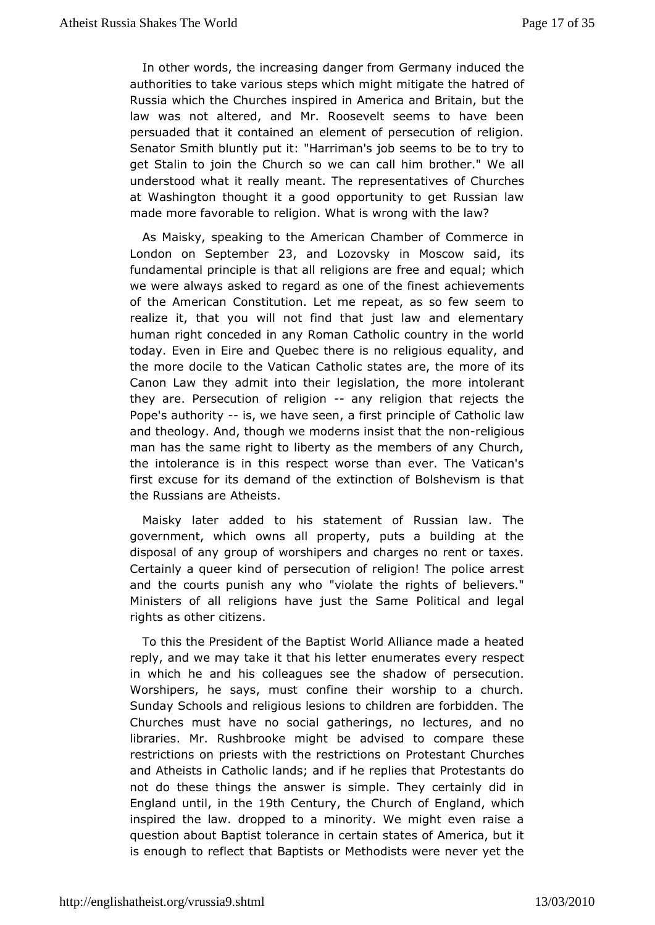In other words, the increasing dBeen on earn for onduced the authorities to take various steps which migghttrenditone the Russia which the Churches inspired in America and Britain, b lawwas not altered, and Mr. Roosevelt seems to have be persuaded that it ained an element of persecution of religion Senator Smith bluntly hautriman's job seems to be to try to get Stalin to join the Church csad I when me aborother." We all understood what it really meant. The repr@bendabiyes at Washington thought it a good opportunity to get Russian mademore favorable to religion. What is wrong with the law?

As Maisksypeaking to the American Chamber of Commerce in London on Septembeand Lozovsky in Moscow said, its fundamental principle is that allfree gandsequeal; which we were always asked to regard as on**achietheemeinesst** of the American Constitution. Let me repeat, as so few see realize it, that you will not find that just law and elemen human rigohotnceded in any Roman Catholic country in the worl today. Even in EiQeu abed there is no religious equality, and the more docile to the CVathioclain states are, the more of its Canon Law they admit inteogitshation, the more intolerant they are. Persecution of--rachiygrieolnigion that rejects the Pope's authority we have seen, painion is a find catholic law and theology. And, though we moderns nosistighat she man has the same right to liberty as the members of any Church the intolerance is in this respect worse than ever. The Vat first excuse its demand of the extinction of Bolshevism is th the Russians A threists.

Maisky later added to his statement of Russian law. The government, which owns all property, puts a building at disposal of garnoyup of worshipers and charges no rent or taxes Certainly a queer lpien robecofution of religion! The police arrest and the courts punish a wyo walled the rights of believers." Ministers of all religions have ju Ptolihieca Sammed legal rights as other citizens.

To this the Presiden Baptit shirt World Alliance made a heated reply, and we may take it tha this deates every respect in which he and his colleagues see the rsseaudtown.of Worshipers, he says, must confine their worship to a chu Sunda§chools and religious lesions to children are forbidden. Churches must havesocial gatherings, no lectures, and no libraries. Mr. Rushbrooke mdghstedbeto compare these restrictions on priests with the re<sup>pertor</sup>ical Churches and Atheists in Catholic lands; and if Phrotesspotimets to thoat not do these things the answer is simple. They certainly d England uniniltheith Centurtyhe Church of Engyllaincon inspired thas w. dropped to a minority. We might even raise a question about Btapt birsatnce in certain states of America, but it is enough to refleBapthiastts or Methodists were never yet the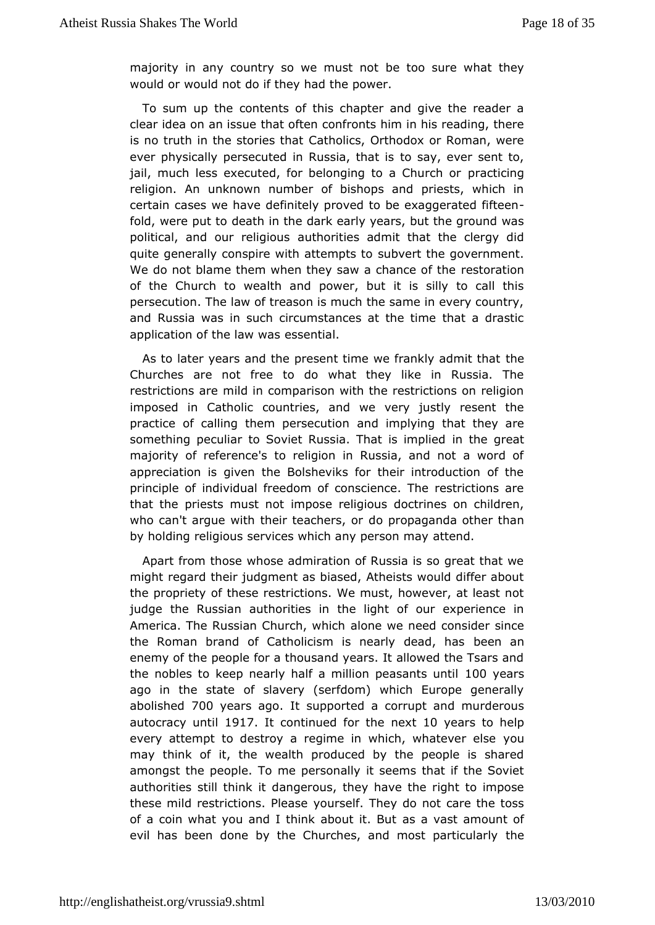majority in any country so we benut so os ure what they would or would not do if they had the power.

To sumup the contents of this chapter and give the reader clear idea on anthastuce than confronts him in his reading, there is no truth in the storCeshthats, Orthodox or Roman, were ever physically persecuted in Ruts is a ytheateirs sent to, jail, much less executed, for belonging poaatich hugch or religion. An unknown number of bishops and priests, which certaimases we have definitely proved to be exaggerated fifte fold, were pudte adh in the dark early years, but the ground was political, and our realuigh ousties admit that the clergy did quite generally conspire with auttements the government. We do not blame them when they saw a rocharation finithe of the Church to wealth and power, but it is silly to call persecution. The law of treason is much the same in every co and Russwias in such circumstances at the time that a drast application of the leasy seventsial.

As to later years and the present time we frtannekly admit that Churches are not free to do what they like in Russia. restrictionsmald in comparison with the restrictions on religion imposed in Catholintries, and we very justly resent the practice of calling them pearnsole ciuntipolyting that they are something peculiar to Soviet Russia. Thathes gime paltied majority of reference's to religion in Russia, and not a wo appreciation is given the Bolsheviks for their introduction of principle imdividual freedom of conscience. The restrictions and that the priests muismt proste religious doctrines on children, who can't argue with their tedacchoerrospaganda other than by holding religious services which amy eprects on may

Apart from those whose admiration of Russia is so great that might regard their judgment as biased, Atheists would differ the propriety these restrictions. We must, however, at least  $n<sub>0</sub>$ judge the Rusauthorities in the light of our experience in America. The Russian Churachon which need consider since the Roman brand of Catholicism is neableyende and, has enemy of the people for a thousand years. It allowed the Tsar thenobles to keep nearly half a million peasents until ago in the stoafteslavery (serfdom) which Europe generally abolishe oo years ago supported a corrupt and murderous autocracy un 9 ill 7 It continued for the love ars to help every attempt to destroy a regime in which, you hatever else may think of it, the wealth produced by the people is she amongst the ople. To me personally it seems that if the Soviet authorities still tohiam kgeitous, they have the right to impose these mild restrictionsy. o Brieasfe They do not care the toss of a coin what you and I think absout it as Buat mount of evil has been done by the Churches, and mtchest particularly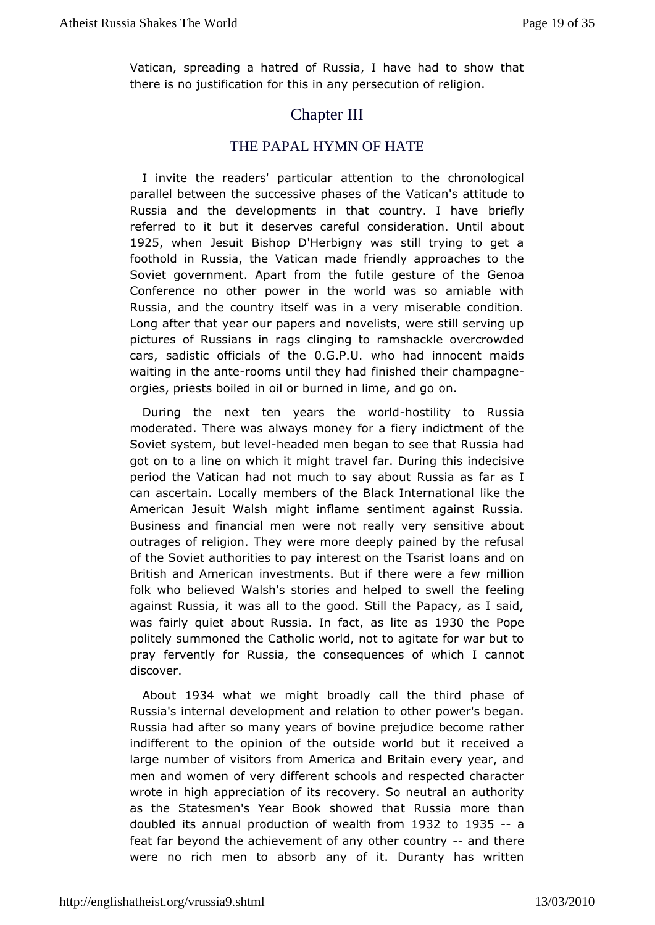Vatican, spreading a hatred of Russia. I have had to show there is jnustification for this in any persecution of religion.

### **ChapterIII**

### THE PAPAL HYMN OF HATE

I invite the readers' particular to the chronological parallel between the successive pMeatsiess not attentude to Russia and the developments in that coubmtey  $I$  have referred to it but it deserves careful consideration. Until 1925 when Jesuit Bishop D'Herbigny was still trying to get foothold in Russia, attiben made friendly approaches to the Soviet government. Apart from gtenset uffuetibe the Genoa Conference no other power in the world was so amiable v Russia, and the country itself was in a very miserable cond Long afttehrat year our papers and novelists, were still serving pictures of Rusisniamasgs clinging to ramshackle overcrowded cars, sadistic official \$.GoF.Uthweho had innocent maids waiting in the-raomotres until the fimized ed their champagne orgies, priests boiled in oil or burnedoim. lime, and go

During the next ten years the still out and to Russia moderatedhere was always money for a fiery indictment of th Soviet systemlebutheaded men began to see that Russia had got on to a line on which triat vealight at. During this indecisive period the Vatican had not much thoussay a a bout as I can ascertain. Locally members of the Black telm hernational American Jesuit Walsh might inflame sentiment against Rus Busines and financial men were not really very sensitive about outrages of religion.were more deeply pained by the refusal of the Soviet authorities at the pay interest of the Tsarist loans and on British and American investmethits and a few million folk who believed Walsh's stories and heleped etongswell against Russia, it was all to the good. Still the Papacy, as was fairly quiet about IR ufsascitas lite a 930 the Pope politesy ummoned the Catholic world, not to agitate for war but pray fervently Riussia, the consequences of which I cannot discover.

About1934 what wemight broadly call the third phase of Russia's internal development and the dation wer's began. Russia had after so many years of bobvercompresinathere indifferent to the opinion of the outside world but it receiv large number of visitors from America and Britain every year men and women nvery different schools and respected characte wrote in high appreciates ome contrery. So neutral an authority as the Statesmen's Year Book shRawssida theotre than doubled its annual production of twee alto19r3o5m-a feat far beyond the achievement of any-oather theouentry were no rimchen to absorb any of it. Duranty has written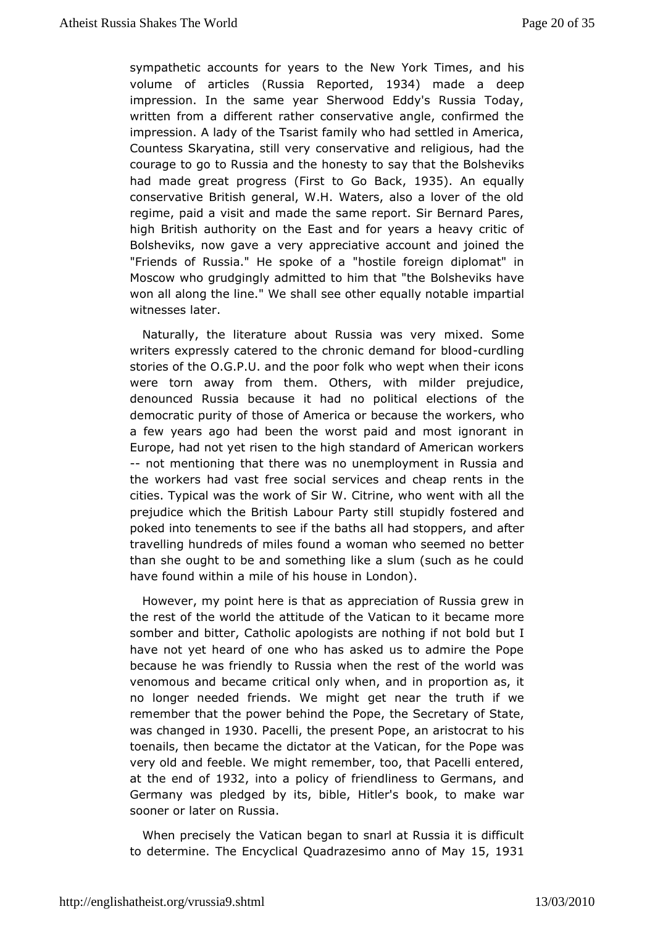sympathetic accounts for the earlistor York Times, and his volume of articles sia Reporten 34 made adeep impression. In the same year Sherwood Eddy's Russia Tod written from different rather conservative angle, confirmed the impression. A lady Tsat tihs family who had settled in America, Countess Skaryatina, sctol his very ative and religious, had the courage to go to Russia and the shyon beaty the Bolsheviks had made great pro $(F_i)$  iests to Go  $B$  a  $F$  . An equally conservative British general, W.H. Waters, also a lover of tl regime, paid a visit and made the same report. Sir Bernard F high Brities uhthority on the East and for years a heavy critic Bolsheviks, now guavey appreciative account and joined the "Friends of Russia." He spobetiole a oreign diplomat" in Moscow who grudgingly admitted to HBiom sthe aviks have won all along the line." We shall see otheirmep qaurtailaly notable witnesses later.

Naturally, the literature about Russmiax endas Somer  $\theta$ writers expressly catered to the chronic demrad thing or blood stories of the O.G.P.U. and the poor folk who wept when their were toraway from them. Others, with milder prejudice, denounced Russia becaus moitp had dical elections of the democratic purity of those of America or because who a few years ago had been the worst paid and most ignoran Europe, had not yet risen to the high standard of American work --notmentioning that there was no unemployment in Russia a the workers had fweest social services and cheap rents in the cities. Typical was the wWorkCofrishie, who went with all the prejudice which the British Labostru Piadrity faotsitlered and poked into tenements to see if the baths and the aftestoppers, travelling hundreds of miles found a woman who seemed no b thanshe ought to be and something like a slum (such as he comhave found with indea of his house in London).

However, my point here is pthat cleastion of Russia grew in the rest of the world the attitude otto tilteble atime an more somber and bitter, Catholic apologists are nothing if not bold have not yet heard of one who has asked us to admire the I because was friendly to Russia when the rest of the world  $w_i$ venomous and becaintiesal only when, and in proportion as, it no longer needed friends. We t miggant the truth if we remember that the power behind the Popeofthe as ecretary was changed 9 30 Pace, the present Pame aristocrat to his toenails, then became the dictator at the Vatican, for the Pop very old ane ble. We might remember, too, that Pacelli entere at the end 1082 into policy of friendliness to Germans, and Germany was pledged by itstilbiblebook, to make war sooner or later on Russia.

When precisel wathe an began to snarl at Russia it is difficult to determine. The EnQuald catesimo anno 65, M93/1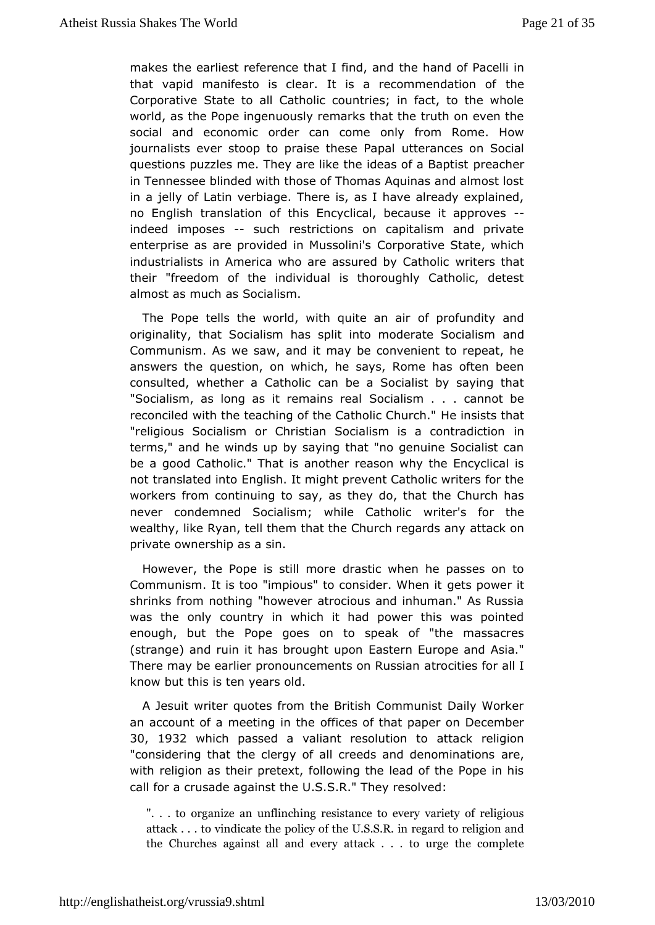makes the earliest reference thathe fhind and a celli in that vapid manifesto is clear. It is a recothenendation of Corporative State to all Catholic countries; in fact, to the world, alse Pope ingenuously remarks that the truth on even the social and economoliecr can come only from Rome. How journalists ever stoop to praise uthesen Papaon Social questions puzzles me. They are like the ideas contena Baptist in Tennessee blinded with those of Thomas Aquinas and almos in ajelly of Latin verbiage. There is, as I have already explainty no Englismanslation of this Encyclical, because it approves indeed imposessuchrestrictions on capitalism and private enterprise as are provided in CMbupsodaitniv's State, which industrialists in America who are assurend to by Catholic their "freedom of the individual is thoroughly Catholic,  $d_{\perp}$ almost as much as Socialism.

The Pope tells the world, with opufit percefinan adiaty and originality, that Socialism has split into moad redate Socialism Communism. As we saw, and it may be convenient to repeat, answers the estion, on which, he says, Rome has often beer consulted, whether a Catholdeca Socialist by saying that "Socialism, as long as it re**mainalisemal**... cannot be reconciled with the teaching of the Calle moving insights that" "religious Socialism or Christian Socialism is a contradict terms," and he winds up by saying that "no genuine Socialis be a gooCdatholic." That is another reason why the Encyclical not translated Eimgtish. It might prevent Catholic writers for the workers from continusiang, taps they do, that the Church has never condemned Socialism; while ricent's olior the wealthy, like Ryan, tell them that the Chuatth and generics any private ownership as a sin.

However, the Pope is still a strice when he passes on to Communism. It is too "impious" to congiects rpoWwheernitit shrinks from nothing "however atrocious and inhuman." As Ri was the only country in which it had power this was poin enough, but the goes on to speak of "the massacres (strange) and ruin it has bro Eughsteum o Enurope and Asia." There may be earlier pronouncements trouncillings of all I know but this is ten years old.

A Jesuit wratus and the British Communist Daily Worker an account of a meeting ffincets eof that paper on December 30, 1932 which passed a valiant resaltutaicokn rteoligion "considering that the clergy of all creeds anadedenominations with religion as their pretext, following the lead of the Pope callfor a crusade against the U.S.S.R." They resolved:

". . . otroganize an unflinching resistance to every variety c attack to vindicate the policy of the U.S.S.R. in regard to re the Churcahgeasinst all and every attack . . . to urge the c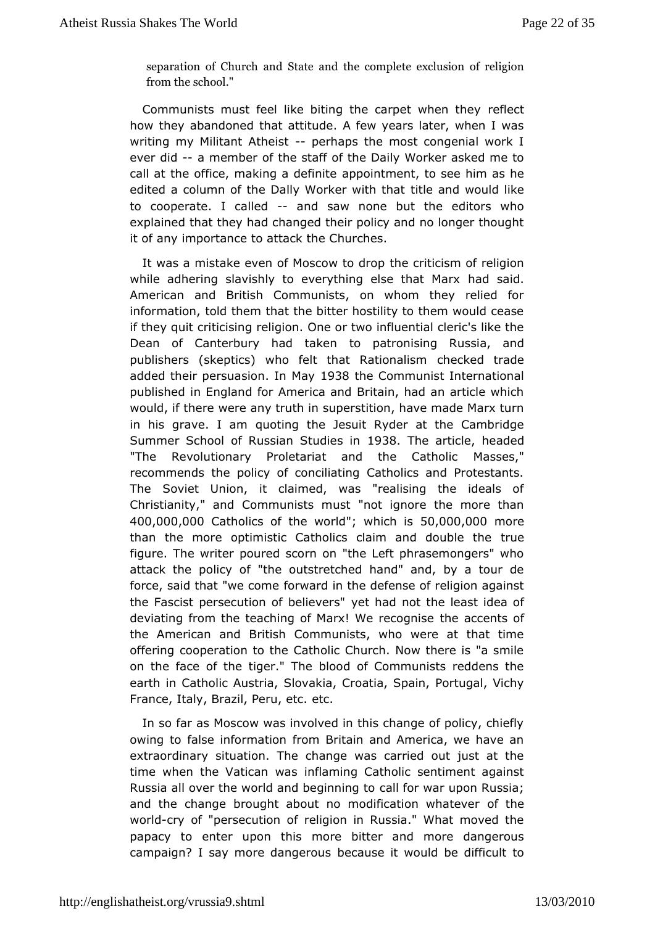separation of aCrhdurSs hate and the complete exclusion of rel  $from$  the school."

Communists must feel like biting the carpeeft ewhen they how they abandoned that attitude. A few years later, when I writing w Militant Atheps the most congenial work I ever dida member to fe staff of the Daily Worker asked me to call at the office, making  $a$  a potention intent, to see him as he edited a column of the Dally Workteetlewiathholthwaotuld like to cooperate. I calland saw none but the editors who explained that they had changed their policy and no longer th it of annoportance to attack the Churches.

It was a mistake even of Mosctohwe to ridiroxing m of religion while adhering slavishly to everything chase shad. Marx American and British Communists, on whom they relied informationld them that the bitter hostility to them would cease if they quit criticells gngn. One or two influential cleric's like the Dean of Canterbury had totalpeantronising Russia, and publishers (skeptics) who felt that cRead koendalismede added their persulansilon a  $y$ 938 the Communist International published in England for America and Britain, had an article would, tiffere were any truth in superstition, have made Marx turn in his grave. Iquanting the Jesuit Ryder at the Cambridge Summer School of Russian S1t9u3d88 The martichee aded "The Revolutionary Proletariat and thMeassCeast, holic recommends the policy of conciliating Catholics and Protes The Soviet Union, it claimed, was "realising the ideals Christianity," Caomodmunists must "not ignore the more than 400,000,000 atholics of the"; wordhrildch i5 s0,000,000 ore than the more optimistic Catholics claim atmdedouble the figure. The writer poured scorn on "the Left phrasemongers" attack the plicy of "the outstretched hand" and, by a tour d force, said that "we ocweaned in the defense of religion against the Fascist persecution of yted lite a we rus of the least idea of deviating from the teaching of Marx! twe accentssef the American and British Communists, who were at that ti offering cooperation to the Catholic Church. Now there is "a on the facte the tiger." The blood of Communists reddens the earth in Catholic ASulsotwa kia, Croatia, Spain, Portugal, Vichy France, Italy, Brazil, Recu, etc.

In so far as Moscow was involved in this change of policy, and owing to false information from Britain and America, we have extraordin  $x$  if yuation. The change was carried out just at the time when the Vatican flwamsing Catholic sentiment against Russia all over the world and beaglin for in gratio upon Russia; and the change brought about no modification whatever worlotry of "persecution of religion in Russia." What moved papacyto enter upon this more bitter and more dangerous campaign? I say more dabnegeerous it would be difficult to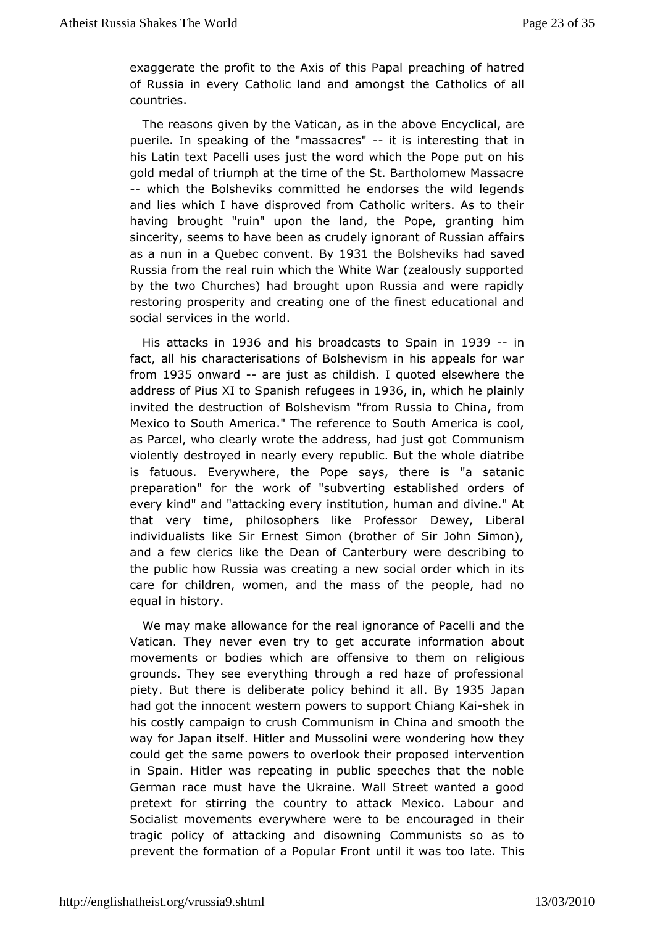exaggerate the profit to the Axis ponfeancins in Pola pontine at the d of Russia in every Catholic land and amongost at the Catholics countries.

The reasons given by the Vatican,  $a \in \text{ri}$  ay the call oave enterpolyment puerile. In speaking of the "maissizecnes eresthing in his Latin text Pacelli uses just the word which the Pope put goldmedal of triumph at the time of the St. Bartholomew Massa -- which the eviks committed he endorses the wild legend and lies which Idhapveoved from Catholic writers. As to their having brought "ruin" uplandthehe Pope, granting him sincerity, seems to have been as croodeRu signitiment and fairs as a nun in a Quebec Govniv9e3nitthe Bolshevikssahvaedd Russia from the real ruin which the White War (zealously supp by thewo Churches) had brought upon Russia and were rapic restoring prosperity eation one of the finest educational and social services worthe

His attacks 1986 and his broadcasts to Shot 39factall his characterisations of Bolshevism in his appeals fo from1935 on ward- are just as childish. I quoted elsewhere the address of Pius XI to r&phagne show in the plainly invited the destruction of B"disme Riamsia to China, from Mexico to South America." The reference erito a Sosuctohol. as Parcel, who clearly wrote the addresCsomhand nius ant got violently destroyed in nearly every republic. But the whole di is fatuous. Everywhere, the Pope says, there is "a sata preparation" forw ohke of "subverting established orders of every kind" and "attackings teituetriyon, human and divine." At that very time, philosophers like DePwertes soliberal individualists like Sir Ernest Simon (brother of Sir John Si and a few clerics like the Dean of Canterbury were describi the public hawssia was creating a new social order which in i care for children, wacnudethe mass of the people, had no equal in history.

We may make allow can the real ignorance of Pacelli and the Vatican. They never even tay curaget information about movements or bodies which are offensiveeltiogiolousm on grounds. They see everything through a red haze of profess pietyBut there is deliberate policy .b html 635 Japan had got the innoveesntern powers to support Cshhieak ginKai his costly campaign to commust mism in China and smooth the way for Japan itself. Hitler an we netwo soldering how they could get the same powers to overlook ith teeinvention consed in Spain. Hitler was repeating in public speeches that the German race must have the Ukraine. Wall Street wanted a g pretext fetirring the country to attack Mexico. Labour and Socialist movements evew pewe to be encouraged in their tragic policy of attacking and Comination warming the solution as to prevent the formation of a Popular Front lanell Thiwas too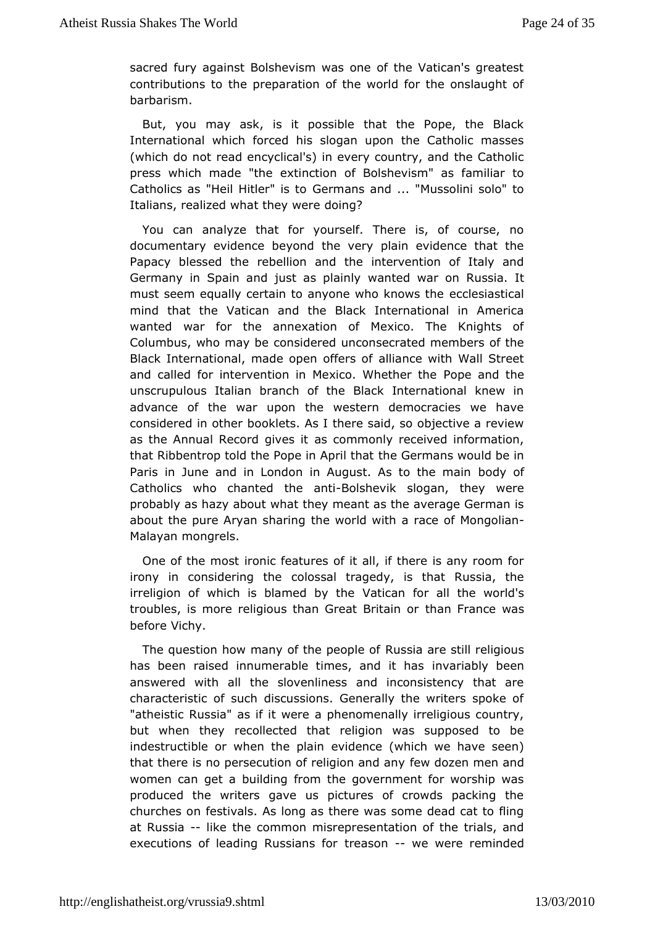sacred fury against Bolshevism was one of the Vatican's great contributions to the preparation of the world for the onslauc barbarism.

But, you may ask, is it possible that the Pope, the BI International which forced his slogan upon the Catholic ma (which do not al encyclical's) in every country, and the Cathol press which madee \*threction of Bolshevism" as familiar to Catholics as "Heil Hitlet remants and ... "Mussolini solo" to Italians, realized what to hoe in ow?ere

You can analyze that for yourself. There is, of course, documentary evidence beyond the very plain evidence that Papacy blessed rethellion and the intervention of Italy and Germany in Spain and just awsamptlead nuwar on Russia. It must seem equally certain to anyone wehoocllensoiavsstitched mind that the Vatican and the Black International in Ame wanted war for the annexation of Mexico. The Knights Columbus, who map nose dered unconsecrated members of the Black International, made opealloance with Wall Street and called for intervention in MexicoPoWbleethmedrutthee unscrupulous Italian branch of the Black International kne advance of the war upon the western democracies we ha considered in bohocknets. As I there said, so objective a review as the Annual Record agaives mimonly received information, that Ribbentrop told the Pope the AG ein mas would be in Paris in June and in London in August. As odyo othe main Catholics who chanted -Bhoelslan entik slogan, they were probably has zy about what they meant as the average German is about the pure Aryan tshean would with a race of Mongolian Malayan mongrels.

One of the mossitic features of it all, if there is any room for irony in considering olbhes al tragedy, is that Russia, the irreligion of which is blame dat boy antheor all the world's troubles, is more religious than Greban B Fintan neeowas before Vichy.

The question how many of the Rps opdea pot still religious has been raised innumerable times, in and ia bly abseen answered with all the slovenliness and inconsistency that characteristic of such discussions. Generally the writers sp "atheistRussia" as if it were a phenomenally irreligious count but when the ey collected that religion was supposed to be indestructible or when the pelopelmacine (which we have seen) that there is no persecution of relie word ceared annoyn and women can get a building from the government for worship produced the writers gave us pictures of crowds packing churches foemstivals. As long as there was some dead cat to fli at Russialike thosommon misrepresentation of the trials, and executions of leading Rusts eaans on fowe were reminded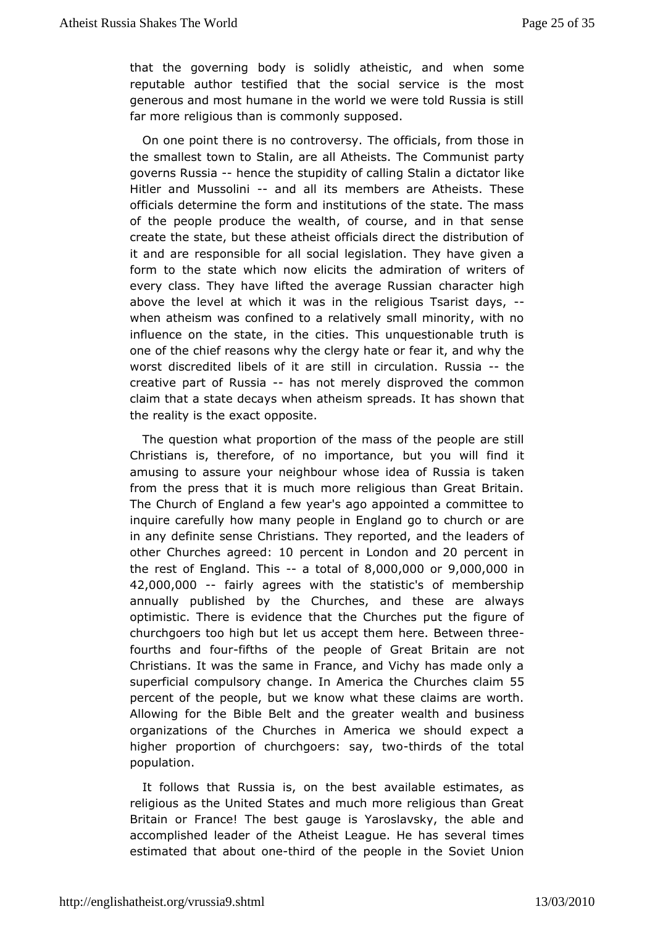that the governing body is solidly awheeinstissomeend reputable author testified that the social service is the generous and most humane in the world we were told Russia i far moreligious than is commonly supposed.

On one point there is no contheomove frisc instance in  $\mathbf{O}_1$  on  $\mathbf{O}_2$  on  $\mathbf{O}_3$  in  $\mathbf{O}_4$ the smallest town to Stalin, are all CA other minist at a form and the Communist  $\Gamma$ governs Russhiance the stupidity of callionig tSattablrin like Hitler and Mussoland all its members are Atheists. These officials determine the form and institutions of the state. The of thepeople produce the wealth, of course, and in that sen create the state hebsuet atheist officials direct the distribution o it and are responsiablile sfooral legislation. They have given a form to the state which notwhee biothintisration of writers of every class. They have lifted the avehaage cReurs shijagrh above the level at which it was in the religious Tsarist day when atheism was confined to a relatively small minority, wi influence tome state, in the cities. This unquestionable truth one of the chief reasons who clergy hate or fear it, and why the worst discredited libels safilitime resirculation. - - Rtunsesia creative part of Russisanot merdeilsyproved the common claim that a state decays when atheism sshow and thath has the reality is the exact opposite.

The question what proopforthieomass of the people are still Christians is, therefore, of no brapoy baun ovei, I find it amusing to assure your neighbour whose idteakeonf Russia is from the press that it is much more religious than Great Br TheChurch of England a few year's ago appointed a committe inquire carefuolwy many people in England go to church or are in any definite sense Chhistians ported, and the leaders of other Churches agreemercent in Londd20 percent in the rest of England. This -- a total of 8,000,000 or9,000,000in 42,000,000 fairly agrees with the statistic's of membership annuallpublished by the Churches, and these are always optimistic. There is ethiadtenbe Churches put the figure of churchgoers too high but let us beceptBehtween three fourths and -foruths of the people of Great Boittain are Christians. It was the same in France, and Vichy has made o superficcam Impulsory chalmgeAmerica the Churche5s5 claim percent of the peopwee, boudw what these claims are worth. Allowing for the Bible Belt and whealton eanter business organizations of the Churches in America we should expert and higher proportion of churchgoersthisday, ofwohe total population.

It follows that Russia is, on the best available estimates religious as the United States and much more religious than Britain *Brance!* The best gauge is Yaroslavsky, the able ar accomplished leader Aothetihse League. He has several times estimated that abo-uthiocheof tohesople in the Soviet Union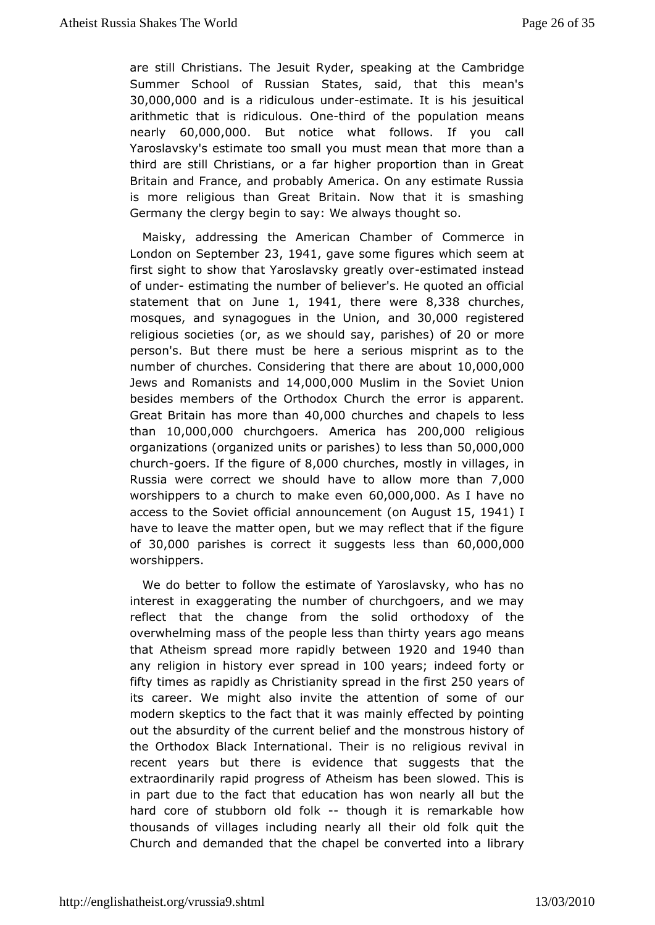are still Christians. The Jesuit Rydethes parankbining geet Summer School of Russian States, said, that this mea 30,000,00a chd is a ridiculous esutridhearte. It is his jesuitical arithmetic thartidinsculous. - On  $\mathbf{h}$  red of the population means nearly60,000,000But notice whetlows. If you call Yaroslavsky's estimate too small you must the anathat more third are still Christians, or a far higher proportion than in Britain and France, and probably America. On any estimate R is moreeligious than Great Britain. Now that it is smashir Germany the clergy to sayin: We always thought so.

Maisky, addressing the American Chammber rceofin London on Septe2m3b 6941 gave some figures which seem at firstight to show that Yaroslavsky -greatentiay tend instead of undecastimating the number of believer's. He quoted an official statement that Jome 1, 1941 there were 338 churches mosques, and synagogues in tahmed 3UCn, iOo OnCregistered religious soci@tries we should psanyish est 20or more person's. But there must be here a serious misprint as to number of urche Gonsidering that there are, @ 00,000,000 Jews and Romanist<sup>1</sup>s4,20n0d,0000 uslim in the Soviet Union besides members of the Orthodox eCthourcihs tahpeparent. Great Britain has mo $40,0020$ churches and chapels to  $than 10,000,000$  hurchgoe Asmerica  $h200,000$  religious organizatió consganized units or p) alois hesses than 000,000 churchoers. If the pure  $\delta$  food churchers ostly in villages Russia were correct weh as heut allow more 7,than 8 worshippers to a church to  $m\delta\theta$ k $\theta\theta\theta\theta$ v $\theta\delta\theta\delta$ s I have no access to the Soviet official an $($ oou $A$ ugum $E$ nt 94) I have to leave the matter open, but we may reflect that if the of  $30,000$  parishes is correct it suggest  $60$ , $0000$ ,  $0000$ worshippers.

We dobetter to follow the estimate of Yaroslavsky, who has interest exaggerating the number of churchgoers, and we may reflect that the changeth  $é$ rosmolid orthodoxy of the overwhelming mass of the people less eaths and thirthey ans that Atheism spread more rapid My9 200eat world 9014 Othan anyreligion in history ever sippologeda is indeed forty or fifty times raapsidly as Christianity spread 2510 ytohaersfinosft its career. We malgot invite the attention of some of our modern skeptics to the fact that in  $\mathbf{w}$  is the set of by pointing out the absurdity of the current breabines tan adsthestory of the Orthodox Black International. Their riesvirvoal reinigious recent years but there is evidence that suggests that extraordinarily rapid progress of Atheism has been slowed. T in part duce the fact that education has won nearly all but th hard core of stubbofronlkoldhough it is remarkable how thousands of villages including heerard yd aflowlk quit the Church and demanded that the chapel be choveryed into a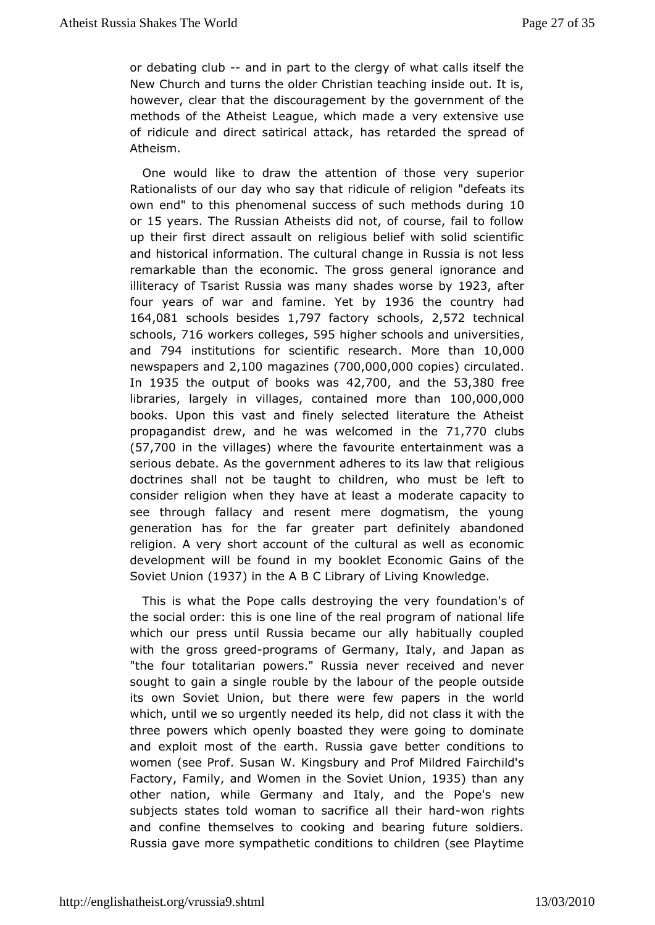or debating  $\varepsilon$ -labd in part to the clergy of what calls itself the New Church and turns the older Christian teaching inside out. howeveclear that the discouragement by the government of the methods of the Athessiussule, which made a very extensive use of ridicule and direct satirihcans a thangular the spread of Atheism.

One would like to draw the caft the hots wery superior Rationalists of our day who say that rididefeads nesigion own endo this phenomenal success of such methods during or15years. The Russian Atheists did not, of course, fail to f up their fidristiect assault on religious belief with solid scient and historination. The cultural change in Russia is not le remarkable than edbeomic. The gross general ignorance and illiteracy of Tsarist Russias was desnawn ownsed 9b2y3 after four years of war and. Yearninben 936 the country had 164,081 schools beside 97 factory scho 20,15s7 2 technical schools 16 workers colle5 $\theta$ e5shigher schools and universities and 794 institutions for scientific Meseathanno. 000 newspapers  $2,100$  Omagazin  $67s00,000,000$  pipsirculated In 1935 the output of book  $$2$$   $\sqrt{7}$ d $$$  $$$ and th $$3$ ,  $380$  free libraries, largely in villages, contain  $e$  d0,000 0e00 monta books. Upon this vast and finely selected literature the At propagandist daewd he was welcomed  $\pi$ m,  $\pi$ neclubs  $(57,700n$  theillages) where the favourite entertainment was a serious debate. As ovtehren ment adheres to its law that religious doctrines shall not be tabught to who must be left to consider religion when they havencede reasoncapacity to see through fallacy and resent mere dogmatism, the you generation has for the far greater part definitely abando religion. A we owt account of the cultural as well as economi development will be foruyn boin aklet Economic Gains of the Soviet Un(0937in the A B C Library nogf Knowledge.

This is what the Pope calls destro young dtahte on esy of the social order: this is one line of the nrætab rparloginfæm of which our press until Russia became our ally habitually co with the gross goreogodams of Germany, Italy, and Japan as "the foutotalitarian powers." Russia never received and nev sought to gain a socialle by the labour of the people outside its own Soviet Union, but the we paper eers in the world which, until we so urgently needed its lahses pit dwidth other three powers which openly boasted they were going to domi and exploit most of the earth. Russia gave better conditior women (see PS osan W. Kingsbury and Prof Mildred Fairchild': Factory, Family, and W the Soving the U, min b 35 than any other nation, while Germany and ItalPyopea'nsd ntehwe subjects states told woman to sacrificewahl rtingehitrs hard andconfine themselves to cooking and bearing future soldion Russia gave mayome pathetic conditions to children (see Playtime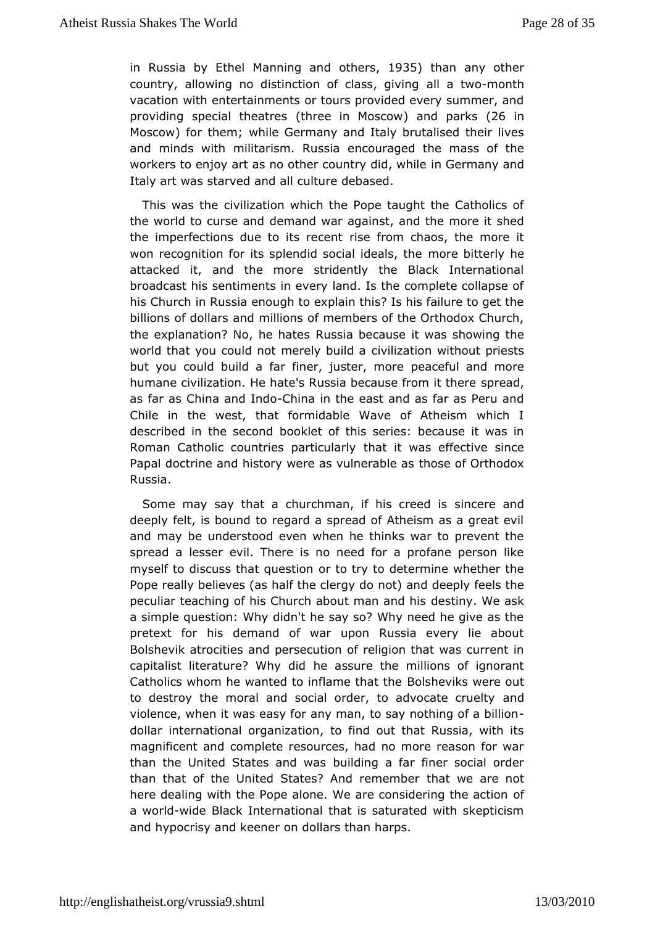in Russia by Ethel Mannginhoerasnie135 than any other country, allowing no distinction of adlass, two powithing vacation with entertainments or tours provided every summer,  $p$ roviding special the anteres in Moscom d parks  $6$  in Moscow) for the mite Germany and Italy brutalised their lives and minds with militarismen **Rassaa** ed the mass of the workers to enjoy art as no other counter  $G$  eding a my hided Italy art was starved and all culture debased.

This was the ilization which the Pope taught the Catholics the world to curs teemand war against, and the more it shed the imperfections due to intisser eforement chaos, the more it won recognition for its splendid socmandreidbeathtse, rlty helpe attacked it, and the more stridently the Black Internatic broadcast his sentiments in every land. Is the complete colla his Churigh Russia enough to explain this? Is his failure to get billions of doalniars millions of members of the Orthodox Church, the explanation? No, heussitaes because it was showing the world that you could not merely ibination without priests but you could build a far finer, jouesate e funnoamed more humane civilization. He hate's Russia becasups ree a dom it there as far as China and hlindoin the east and as far as Peru and Chilein the west, that formidable Wave of Atheism which described in the sbecond book of this series: because it was in Roman Catholic countries paraitcuta was effective since Papal doctrine and history were as thoolsnee roafb Oertahsodox Russia.

Some may say that a churchman, if shins ceree ands deeply felt, is bound to regard a spread of  $A$ theism as a great and may be understood even when he thinks war to prevent spread a lessver. There is no need for a profane person like myself to discuss that question to determine whether the Pope really believes (as half the cleard  $y$ ddeply feels the peculiar teaching of his Church aboud emstanyan We ehiassk a simple question: Why didn't he say so? Why need he give a pretext for his demand of war upon Russia every lie ab Bolshevik atroandepersecution of religion that was current in capitalist literature? We hyasds dre the millions of ignorant Catholics whom he wanted to inflaBnotes hheavtiktshewere out to destroy the moral and social order, to aadnobcate cruelty violence, when it was easy for any man, to say-nothing of a b dollainternational organization, to find out that Russia, with magnificent and plete resources, had no more reason for war than the United States aboudlowing a far finer social order than that of the United States? Anthatenwember not here dealing with the Pope alone. We are consoidering the act a worlwide Black International that is saturated with skeptic andhypocrisy and keener on dollars than harps.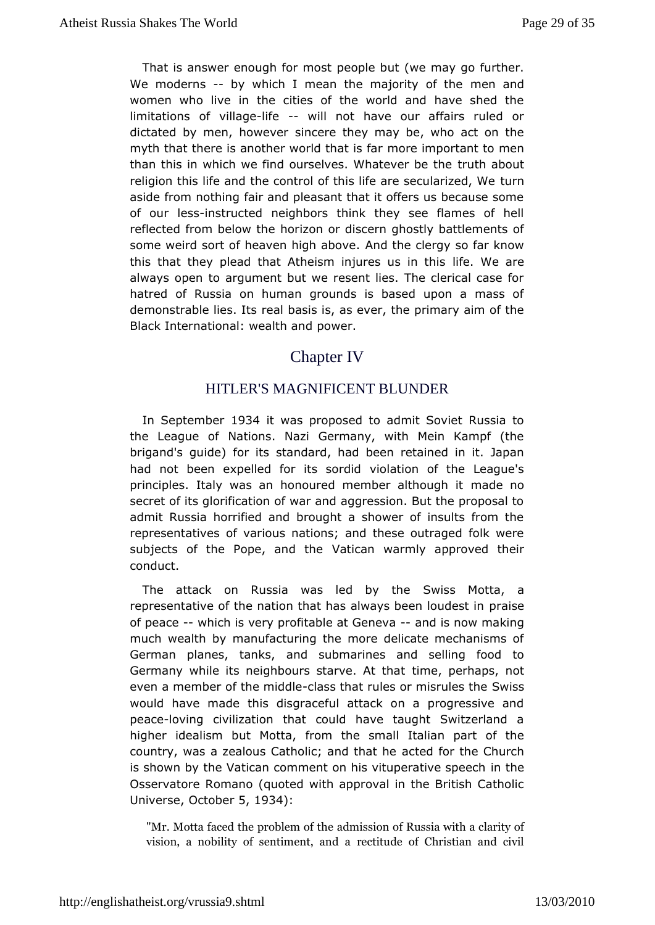That is answer enough for monough twe may go further. We moderns by which I mean the majoritment at the modern states women who live in the cities of the world and have shed limitations villabiee - will not have our affairs ruled or dictated by men, hoswingere they may be, who act on the myth that there is another world not matimisp batant to men than this in which we find ourselves. Wthatteveboout the religion this life and the control of this life auensecularized, aside from nothing fair and pleasant that it offers us because of outessinstructed neighbors think they see flames of hel reflected from below rinen or discern ghostly battlements of some weird sort of heaven high dathevelergy so far know this that they plead that Atheism injurests.uwe anathis always open to argument but we resent lies. The clerical cast hatred of Russia on human grounds is based upon a mass demonstrable liers.althasis is, as ever, the primary aim of the Black International: we ad the and

# Chapter IV

#### HITLER'S MAGNIFICENTBLUNDER

In Septemble 34 it was proposed to admit Soviet Russia to the League of Nations. Nazi Germany, with Mein Kampf (the brigand's guide) fortanidsard, had been retained in it. Japan had not been expelled for its isolation and the League's principles. Italy was an honoured membenradaetthoough it secret of its glorification of war and aggression. But the prop admit Russia horrified and brought a shower of insults from representatiov fe warious nations; and these outraged folk were subjects of the Pope, a/madictan ne warmly approved their conduct.

The attack on Russia was led Swbiys th Meotta, a representative of the nation that has alway praces aloudest in of peacewhich is very profitable at aGhedniesvanow making muchwealth by manufacturing the more delicate mechanisms German planes, taamkds, submarines and selling food to Germany while its neighbours stationee, Aptethhaatps, not even a member of the crhaid dibhat rules or mis Swikess the would have made this disgraceful attack on a progressive peac-bovingcivilization that could have taught Switzerland a higher idealism but fMontathe small Italian part of the country, was a zealous Catholic; a ached that thee Church is shown by the Vatican comment on his vituipetheetive speech Osservatore Romano (quoted with approval in the British Cat Univers@ctober 1934:

"Mr. Motta faced the praodomheisons icofntione Russia with a clarity of vision, a nobility of sentience intudeanoof a Christian and civil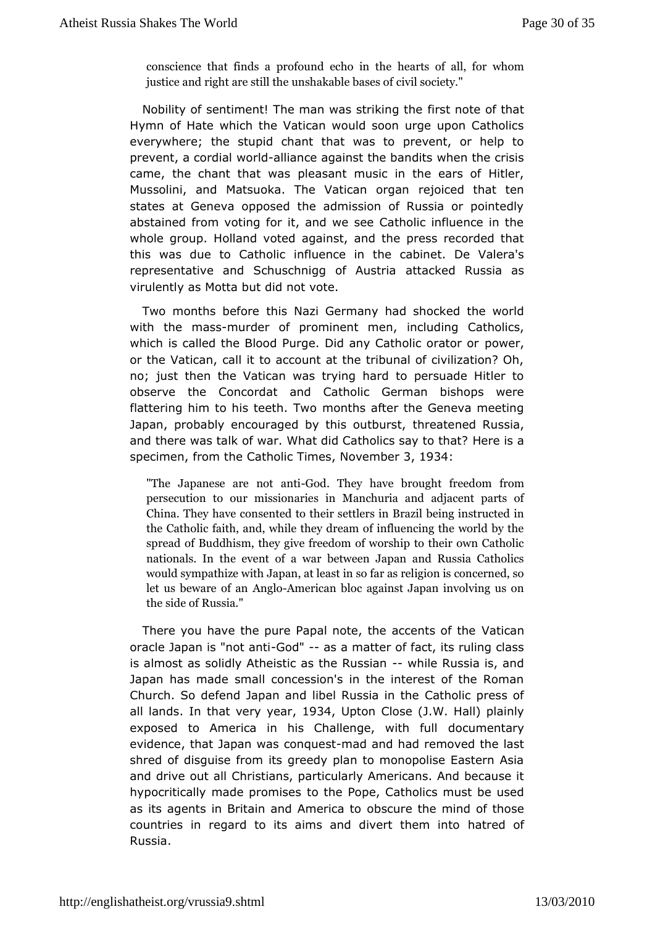conscience that finds a profobedrtes choof and, the heart whom justice and right are still the unishlakabilet bases of

Nobility of sentiment! The man was isstikionto to the that Hymn of Hate which the Vatican would soon urge upon  $Cath$ everywhere; the stupid chant that was to prevent, or help prevent, a cow woird-talliance against the bandits when the crisis came, the chant thaptlewassant music in the ears of Hitler, Mussolini, and Matsuoka. The Vatiegion ceedrate that ten states at Geneva opposed the admission of Russia or poin abstained from voting for it, and we see Catholic influence whole grouplealland voted against, and the press recorded that this was due to Cath follegonce in the cabinet. De Valera's representative and Schuschnigg adfa Akuesd rimalussia as virulently as Motta but did not vote.

Two months beforms Nazi Germany had shocked the world with the m-ansusrder of prominent innoducting Catholics, which is called the Blood Purge. Did any Cpaot whe is orator or or the Vatican, call it to account at the tribunal of civilization no; just then the Vatican was trying hard to persuade Hitle observe the Oncordat and Catholic German bishops were flattering him to his teentohnthsweafter the Geneva meeting Japan, probably encouraged by thills recent tehus is a sta, and there was talk of war. What did Catho Hierse sinsulated? specimetrom the Catholic Nion es ber 1934

"The Japanese are  $G$  od: Taheiy have brought omfreedom persecution to our missionaries in Manchuria and adjace Chinahey have consented to their settlers in Brazil being i  $th \mathcal{L}$  atholic faith, and, while they dream of influencing the spread Buddhism, they give freedom of worship to their ow nationalsth  $en$  event of a war between Japan and Russia C would sympathi $z$ æpwithat least in so far as religion is concerned, som that  $z$ let us bewareAngflaamerican bloc against Japan involving us the side ucosfsia."

There you have the pure Papal note, the Vandice and so of the oracle Japan is "not antial a matter of fact, its ruling class is almost as solidly Atheistic as-twheil Reussias is, and Japan hamsade small concession's in the interest of the Roma Church. So defend Japidomela Rollssia in the Catholic press of all lands that very , y the 34 UptonClose (J.W. Hall) plainly exposed to America in his Challengdeocuwmitentul au evidence, that Japan was-mcad qameds thad removed the last shredof disguise from its greedy plan to monopolise Eastern. and drive out all alstians, particularly Americans. And because hypocritically made ptomthseesPope, Catholics must be used as its agents in Britain and Abnset time mind of those countries in regard to its aims and diveatred bem into Russia.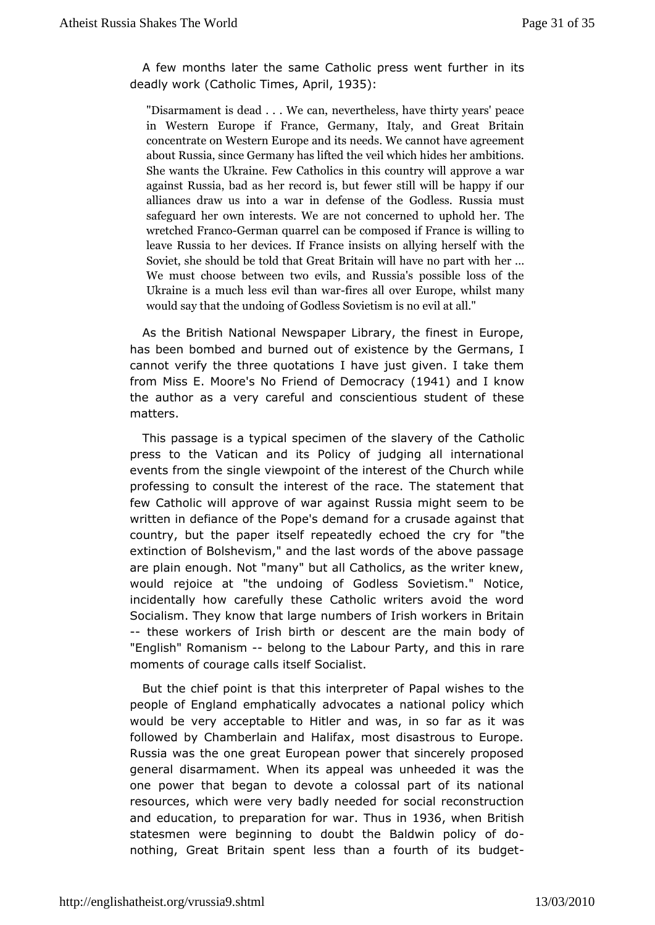A few months later the same Catholic press iwent further deadly  $wdC$ katholic Times in 935:

"Disarmamsndead . . . We can, nevertheless, have thirty ye in Western Eufropeance, Germany, Italy, and Great Brit concentrate on Westernit EuropesanMde cannot have agreement about Russia, since Germanupihawshil chat didense her ambitions. She wants the Ukraine. Few Coauthorly cwilh approve a war against Russia, bad as her restill di will bout happy if our alliances draw us into a war icodde esseRossibe must safeguard her own interests. We auephood t choence The ed to wretched F-Gaenromo an quarrel can be componsited high france is leave Russia to her devices. If France insitiation allying herself with the metalling the leave Soviet, she should be told that Great Britaien will have no p We must choose between two evils, and Russia's possible Ukraine is a much less-feivels thalnower Europe, whilst many woulsday that the undoing of Godless Sovietism is no evil at

Asthe British National Newspaper Library, the finest in Eur has been bomabred burned out of existence by the Germans, I cannot verify the three quotation just given. I take them from Miss E. Moore's No Friend of 1904 the mand alcoknow the author as a very careful and conscientibeusse student of matters.

This passage is a typical specimen of the ashoovery of the press to the Vatican and its Policy of judging all international eventsrom the single viewpoint of the interest of the Church w professing comsult the interest of the race. The statement that few Catholic will app how a reagainst Russia might seem to be written in defiance of the Popfeo's adecmuas adde against that country, but the paper itself repeated by ye to mo edhe he extinction of Bolshevism," and the last words of the above pa are plain enough. Not "many" but all Catholics, as the writer wouldrejoice at "the undoing of Godless Sovietism." Notic incidentally **bame**fully these Catholic writers avoid the word Socialism. They know that the rise of Irish workers in Britain -- these workers of Irish birth **ared the manusculpation** body of "English" Roma-nibsentong to the Labour Partyi,n annadrethis moments of courage calls itself Socialist.

But the chief potimatishis interpreter of Papal wishes to the people of England emp**hativicative**s a national policy which would be very acceptable to Hitler sound a was s, iith was followed by Chamberlain and Halifax, most disastrous to Eu Russia was the one great European power that sincerely prop generadisarmament. When its appeal was unheeded it was th one power that begoteword a colossal part of its national resources, which were very baiddy snoeceidated reconstruction and educatitoon preparation for hout in 1936 when British statesmen were beginning to doubt the Baldwin policy of nothingGreat Britain spent less than a fourth- of its budge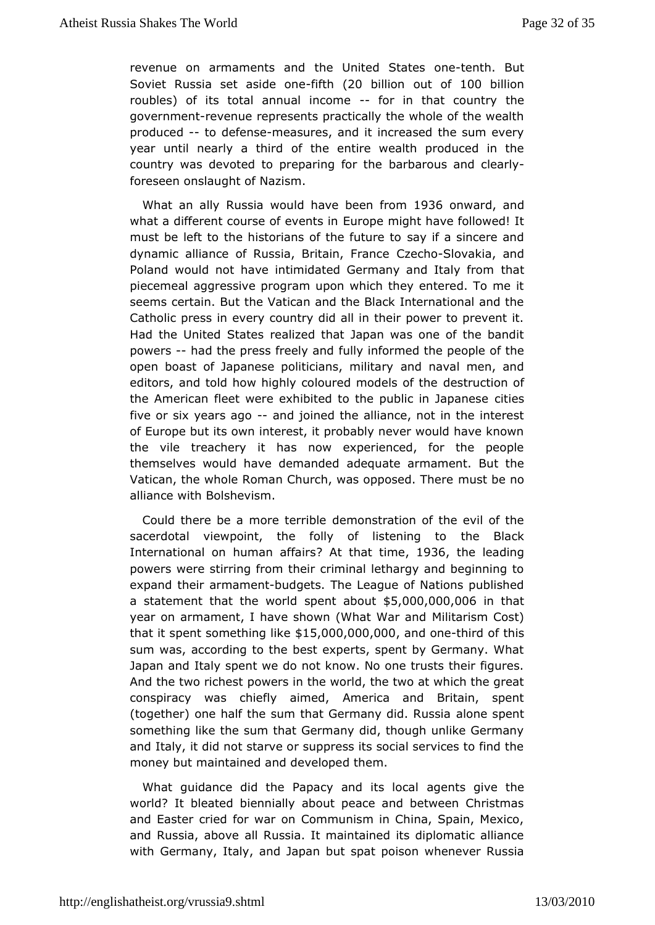revenue on armament sheand nited States tenthe But Soviet Russia set asidfeh(@0ebilliomut of100 billion roubles) of its total annual-forcommethat countery governmend venue represents practically the whole of the weal produced to defensmeasures, and it increased the sum every year until nearly aofthtind entire wealth produced in the country was devoted to preparibag rbfashoot is eand clearly foreseen onslaught of Nazism.

What an ally Ruys musical have been 11988 on onward and what a different course of Eau optes minght have followed! It must be left to the historians of thae future into ere and dynamic alliance of Russia, BriCaziench Stawakia, and Poland would not have intimidated Germany that Italy from piecemeal aggressive program upon which they entered. To r seemsertain. But the Vatican and the Black International and Catholic pressveiny country did all in their power to prevent it Had the United Steate steat that Japan was one of the bandit powers-had the press freefly llaynich formed the people of the open boast of Japanese politiciaamsd, maivatlarmyen, and editors, and told how highly coloured dres dreuls ticofn the the American fleet were exhibited to the pudpiltines in Japanese five or six years and poined the alliance, not in the interest ofEurope but its own interest, it probably never would have kn the viletreachery it has now experienced, for the people themselves would have deand angulade armament. But the Vatican, the whole Roman Church, was ompupsots bed. nTo here alliance with Bolshevism.

Could there be a more determining bearation of the evil of the sacerdotal viewpoint, the folly of ltisseen Brigckto International on human Autfulinus time 36 the leading powerwere stirring from their criminal lethargy and beginning expand thaimamentudgets. The League of Nations published a statement that the spw emidabosuis,  $000,000,000$  fhat year on armament, I have shown (WhMaitli Waars ann Cost) that it spent someth\$mg5,1000,000,0000 ontchird othis sum was, according to the best experts, spent by Germany. \ Japan ahtoaly spent we do not know. No one trusts their figure And the two ripphoewsetrs in the world, the two at which the great conspiracy was chiefly Aamime biot, and Britain, spent (together) one half the sum that Germany on ded spreundsia something like the sum that Germany did, though unlike Germ andItaly, it did not starve or suppress its social services to fi money buntaintained and developed them.

What guidance did the Papacy anad peints I gived the world? It bleated biennially about peace and between Chris and Easter cried for war on Communism in China, Spain, Me and Russia, abblv Russia. It maintained its diplomatic alliance with Germany, Italy, and ut aspeant poison whenever Russia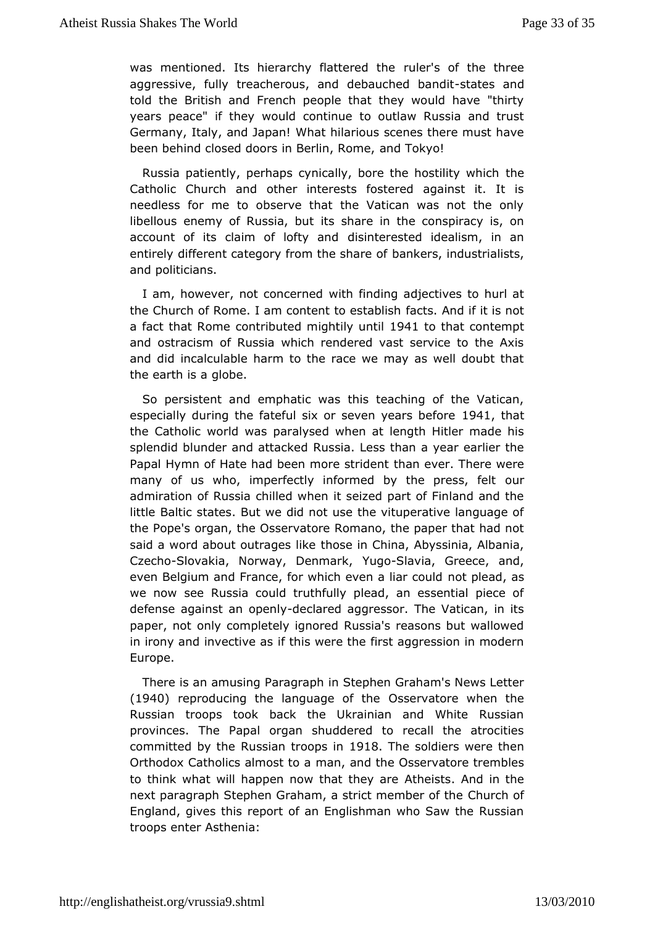was mentioned. Its hierarchy flattleered of ethe three aggressive, fully treacherous, and debatuad beach dbandit told the British and French people that they would have "t years peacet "they would continue to outlaw Russia and trust Germany, Italy, and Whaptamillarious scenes there must have been behind closed doors in Benidh, Rkayno b,

Russia patiently, perhaps cynically, bore the hostility which Catholic Church and other interests fostered against it. needless frog to observe that the Vatican was not the only libellous enemy of Rusistia, shautte in the conspiracy is, on account of its claim of Idisvinteendsted idealism, in an entirely different category from babaksehra reinodustrialists, and politicians.

I am, however, not convciehn feion ding adjectives to hurl at the Church of Rome. I am content factsstablish it is not a fact that Rome contributed milosh4t1 to that the mpt and ostracism of Russia which rendered vast service to the and didncalculable harm to the race we may as well doubt th the earth  $\log$   $\cosh$   $\e$ .

So persistent and emphatic was this teaching of the Vati especially during the fateful six or sevel \$4 yet a has before the Cathowiccrid was paralysed when at length Hitler made hi splendid blunder and attaskæd Less than a year earlier the Papal Hymn of Hate had been mohnens erveent There were many of us who, imperfectly informed by toer press, felt admiration of Russia chilled when it seized part of Finland a littlBaltic states. But we did not use the vituperative languag the Pope's ortchaen Osservatore Romano, the paper that had not said a word about outra**ges** elike China, Abyssinia, Albania, Czech Solovakia, Norway, DenYmugoSklavia, Greece, and, even Belgium and France, for which evreont a llead, casld we now see Russia could truthfully plead, an essential pie defense against an-cooped ared aggressor. The Vatican, in its paper, noonly completely ignored Russia's reasons but wallow in irony and invectivtehias were the first aggression in modern Europe.

There is an am Paraimaggraph in Stephen Graham's News Letter  $(194\,\phi$  reproducing the languageOs osferthætore when the Russian troops took back the Ukrainian and White Russ provinces. The Papal organ shuddered to recall the atroc committed by Rabesian troops **918** The soldiers were then Orthodox Catholics almmost to and the Osservatore trembles to think what will happen now that hte his arend in the next paragraph Stephen Graham, a strict Comhammolhe robf the England, gives this report of an Englishman who Saw the Ru troopsnter Asthenia: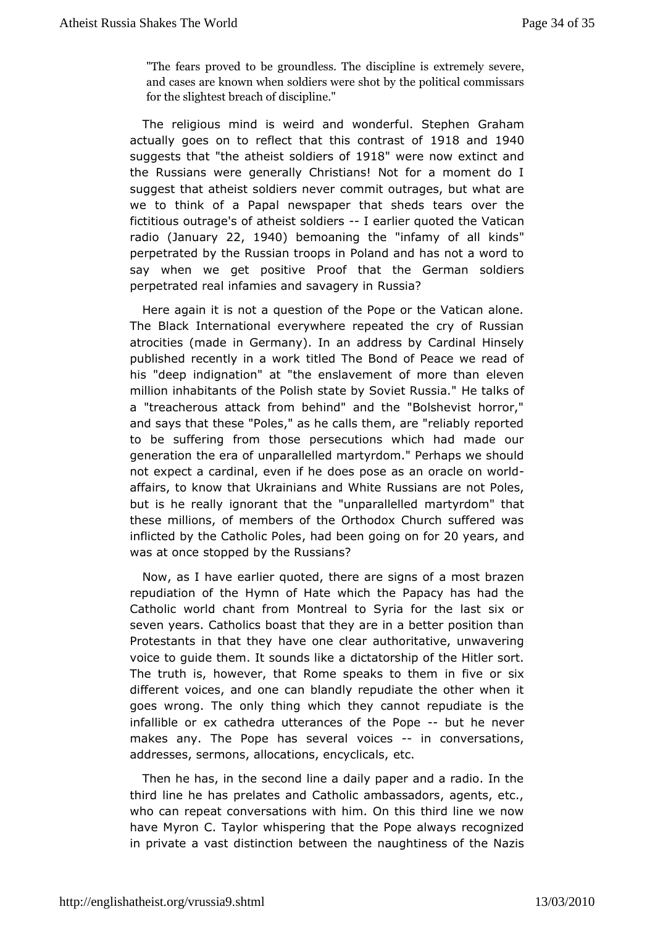"The fears proved to be gdosuchiollese.isThe extremely severe, and cases are known when soldiheerspowietrie as hot of mompissars for the slightest dbise apchines."

The religious mind is weird and wonde Gifrualhamstephen actually goes on to reflect that thi\$ 9 t 8 and 1914 @f suggesthat"the atheist soldie 94 8 owere now extinct and the Russians wenerally Christians! Not for a moment do I suggest that atheist soldiegs mixeutrages, but what are we to think of a Papal newspaper that over the sheden's fictitious outrage's of atheist **saldiers** quote dathi**e** an  $radi$ o(Januar $22$ , 1940 bemoaning the famy of all "kinds perpetrat by the Russian troops in Poland and has not a word say when we get poBitive that the German soldiers perpetrated real infamies and Rassige?y in

Here again it is not a question of the Pope or the Vatican  $\mathfrak{g}$ The Black International everywhere repeated the cry of Russian atrocities (miand Germany). In an address by Cardinal Hinsely published recently intatle or The Bond of Peace we read of his "deep indignation" at "the eonfslma oveen ethan eleven million inhabitants of the Polish state by Soulusts Roussia." a "treacherous attack from behind" and the "Bolshevist hor andsays that these "Poles," as he calls them, are "reliably reported to besuffering from those persecutions which had made or generation the eumap afallelled martyrdom." Perhaps we should not expect a cardinal, edeesifot se as an oracle on world affairs, to know that UkrainiansRuasnsdiaWhslibere not Poles, but is he really ignorant that the "muanptay malld enl" letch at these millions, of members of the Orthodox Church suffered inflicted by the CatholicadP been going  $\alpha$  of  $\gamma$  and was at onsdepped by the Russians?

Now, as I have earlier quoted, therea amessignaszen repudiation of the Hymn of Hate which the Papacy has had Catholic world chant from Montreal to Syria for the last six seven yea Catholics boast that they are in a better position th Protestants in that at the yone clear authoritative, unwavering voice to guide them. It soudhidestaltidentes haip of the Hitler sort. The truth is, however, that Rome speak sivte othesnix different voices, and one can blandly repudiate the other wh goes wrong. The only thing which they cannot repudiate is infallible orcaethedra utterances of the buPtope never makes any. The Pope has  $v$  sexes aln conversations, addresses, sermons, allocationsetencyclicals,

Then he has, in the second line a daily paper and a radio.  $\mathbb I$ third line he has prelates and Catholic ambassadors, agents who camepeat conversations with him. On this third line we n have Myron C. Twahispering that the Pope always recognized in private a vast distinctionh bentwet pentiness of the Nazis